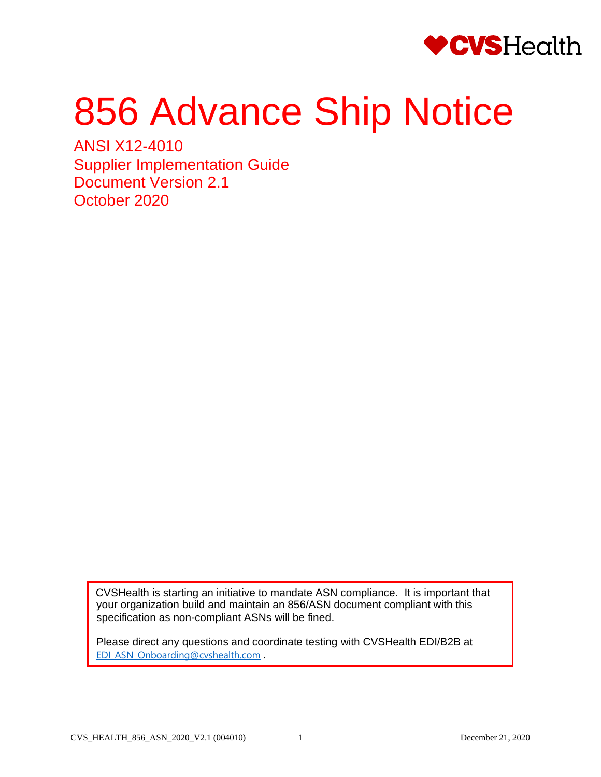

# 856 Advance Ship Notice

ANSI X12-4010 Supplier Implementation Guide Document Version 2.1 October 2020

> CVSHealth is starting an initiative to mandate ASN compliance. It is important that your organization build and maintain an 856/ASN document compliant with this specification as non-compliant ASNs will be fined.

Please direct any questions and coordinate testing with CVSHealth EDI/B2B at [EDI\\_ASN\\_Onboarding@cvshealth.com](mailto:EDI_ASN_Onboarding@cvshealth.com) .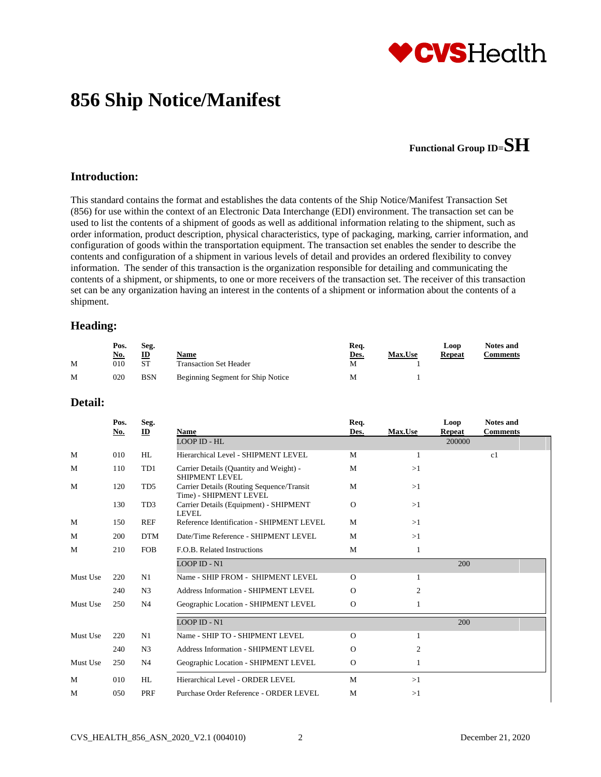

# **856 Ship Notice/Manifest**

## **Functional Group ID=SH**

#### **Introduction:**

This standard contains the format and establishes the data contents of the Ship Notice/Manifest Transaction Set (856) for use within the context of an Electronic Data Interchange (EDI) environment. The transaction set can be used to list the contents of a shipment of goods as well as additional information relating to the shipment, such as order information, product description, physical characteristics, type of packaging, marking, carrier information, and configuration of goods within the transportation equipment. The transaction set enables the sender to describe the contents and configuration of a shipment in various levels of detail and provides an ordered flexibility to convey information. The sender of this transaction is the organization responsible for detailing and communicating the contents of a shipment, or shipments, to one or more receivers of the transaction set. The receiver of this transaction set can be any organization having an interest in the contents of a shipment or information about the contents of a shipment.

#### **Heading:**

|   | Pos.       | Seg.       |                                   | Req. |                | Loop          | Notes and       |
|---|------------|------------|-----------------------------------|------|----------------|---------------|-----------------|
|   | <u>No.</u> | ID         | Name                              | Des. | <b>Max.Use</b> | <b>Repeat</b> | <b>Comments</b> |
| M | 010        | <b>ST</b>  | <b>Transaction Set Header</b>     | M    |                |               |                 |
| M | 020        | <b>BSN</b> | Beginning Segment for Ship Notice | M    |                |               |                 |

#### **Detail:**

|          | Pos.<br><u>No.</u> | Seg.<br>$\mathbf{D}$ | Name                                                                | Req.<br>Des. | Max.Use      | Loop<br><b>Repeat</b> | <b>Notes and</b><br><b>Comments</b> |
|----------|--------------------|----------------------|---------------------------------------------------------------------|--------------|--------------|-----------------------|-------------------------------------|
|          |                    |                      | LOOP ID - HL                                                        |              |              | 200000                |                                     |
| M        | 010                | HL                   | Hierarchical Level - SHIPMENT LEVEL                                 | M            | 1            |                       | c1                                  |
| M        | 110                | TD1                  | Carrier Details (Quantity and Weight) -<br><b>SHIPMENT LEVEL</b>    | M            | >1           |                       |                                     |
| M        | 120                | TD <sub>5</sub>      | Carrier Details (Routing Sequence/Transit<br>Time) - SHIPMENT LEVEL | M            | >1           |                       |                                     |
|          | 130                | TD3                  | Carrier Details (Equipment) - SHIPMENT<br><b>LEVEL</b>              | $\mathbf{O}$ | >1           |                       |                                     |
| M        | 150                | <b>REF</b>           | Reference Identification - SHIPMENT LEVEL                           | M            | >1           |                       |                                     |
| M        | 200                | <b>DTM</b>           | Date/Time Reference - SHIPMENT LEVEL                                | M            | >1           |                       |                                     |
| M        | 210                | <b>FOB</b>           | F.O.B. Related Instructions                                         | M            | $\mathbf{1}$ |                       |                                     |
|          |                    |                      | <b>LOOP ID - N1</b>                                                 |              |              | 200                   |                                     |
| Must Use | 220                | N1                   | Name - SHIP FROM - SHIPMENT LEVEL                                   | $\Omega$     | 1            |                       |                                     |
|          | 240                | N <sub>3</sub>       | <b>Address Information - SHIPMENT LEVEL</b>                         | $\Omega$     | 2            |                       |                                     |
| Must Use | 250                | N4                   | Geographic Location - SHIPMENT LEVEL                                | $\mathbf{O}$ | 1            |                       |                                     |
|          |                    |                      | LOOP ID - $N1$                                                      |              |              | 200                   |                                     |
| Must Use | 220                | N1                   | Name - SHIP TO - SHIPMENT LEVEL                                     | $\Omega$     | 1            |                       |                                     |
|          | 240                | N <sub>3</sub>       | <b>Address Information - SHIPMENT LEVEL</b>                         | $\Omega$     | 2            |                       |                                     |
| Must Use | 250                | N4                   | Geographic Location - SHIPMENT LEVEL                                | $\mathbf{O}$ | 1            |                       |                                     |
| M        | 010                | HL                   | Hierarchical Level - ORDER LEVEL                                    | M            | >1           |                       |                                     |
| M        | 050                | PRF                  | Purchase Order Reference - ORDER LEVEL                              | M            | >1           |                       |                                     |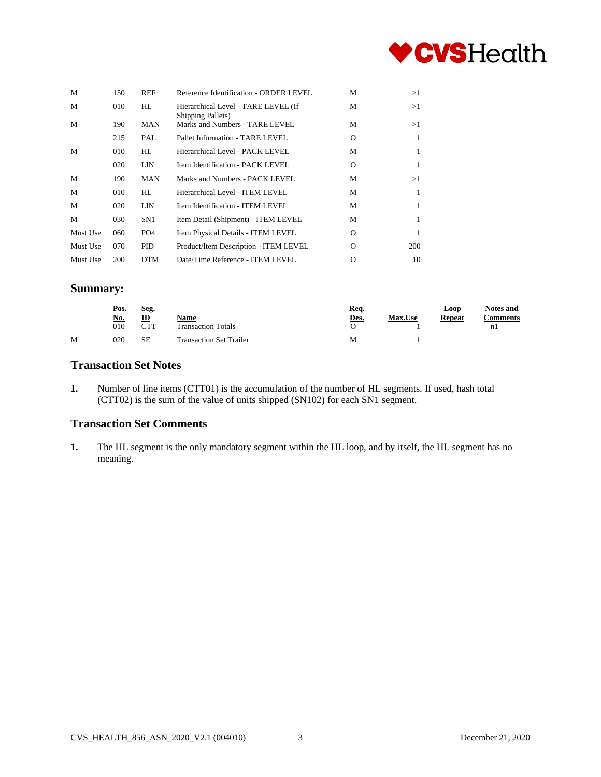

| M        | 150 | <b>REF</b>      | Reference Identification - ORDER LEVEL                           | M        | >1  |
|----------|-----|-----------------|------------------------------------------------------------------|----------|-----|
| M        | 010 | HL              | Hierarchical Level - TARE LEVEL (If<br><b>Shipping Pallets</b> ) | М        | >1  |
| M        | 190 | <b>MAN</b>      | Marks and Numbers - TARE LEVEL                                   | M        | >1  |
|          | 215 | PAL             | Pallet Information - TARE LEVEL                                  | $\Omega$ |     |
| M        | 010 | HL              | Hierarchical Level - PACK LEVEL                                  | М        |     |
|          | 020 | <b>LIN</b>      | Item Identification - PACK LEVEL                                 | $\Omega$ |     |
| M        | 190 | <b>MAN</b>      | Marks and Numbers - PACK LEVEL                                   | M        | >1  |
| M        | 010 | HL.             | Hierarchical Level - ITEM LEVEL                                  | M        |     |
| M        | 020 | LIN             | Item Identification - ITEM LEVEL                                 | М        |     |
| M        | 030 | SN <sub>1</sub> | Item Detail (Shipment) - ITEM LEVEL                              | M        |     |
| Must Use | 060 | PO <sub>4</sub> | Item Physical Details - ITEM LEVEL                               | $\Omega$ |     |
| Must Use | 070 | PID             | Product/Item Description - ITEM LEVEL                            | $\Omega$ | 200 |
| Must Use | 200 | <b>DTM</b>      | Date/Time Reference - ITEM LEVEL                                 | $\Omega$ | 10  |

#### **Summary:**

|   | Pos.       | Seg.        |                                | Req. |                |               | <b>Notes and</b> |  |
|---|------------|-------------|--------------------------------|------|----------------|---------------|------------------|--|
|   | <u>No.</u> | ID          | Name                           | Des. | <b>Max.Use</b> | <b>Repeat</b> | <b>Comments</b>  |  |
|   | 010        | $\Gamma$ TT | <b>Transaction Totals</b>      |      |                |               | nl               |  |
| M | 020        | <b>SE</b>   | <b>Transaction Set Trailer</b> | M    |                |               |                  |  |

#### **Transaction Set Notes**

**1.** Number of line items (CTT01) is the accumulation of the number of HL segments. If used, hash total (CTT02) is the sum of the value of units shipped (SN102) for each SN1 segment.

#### **Transaction Set Comments**

**1.** The HL segment is the only mandatory segment within the HL loop, and by itself, the HL segment has no meaning.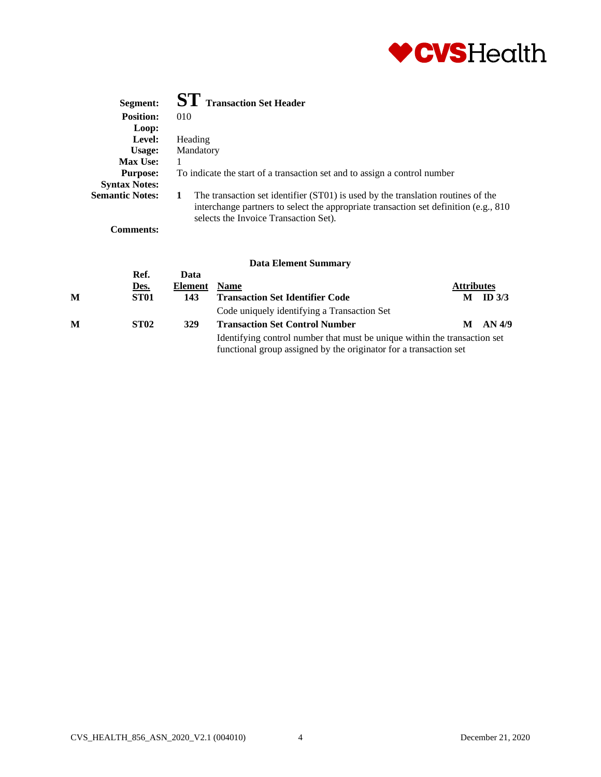

| Segment:               | <b>ST</b> Transaction Set Header                                                                                                                                                                                        |
|------------------------|-------------------------------------------------------------------------------------------------------------------------------------------------------------------------------------------------------------------------|
| <b>Position:</b>       | 010                                                                                                                                                                                                                     |
| Loop:                  |                                                                                                                                                                                                                         |
| Level:                 | Heading                                                                                                                                                                                                                 |
| Usage:                 | Mandatory                                                                                                                                                                                                               |
| <b>Max Use:</b>        |                                                                                                                                                                                                                         |
| <b>Purpose:</b>        | To indicate the start of a transaction set and to assign a control number                                                                                                                                               |
| <b>Syntax Notes:</b>   |                                                                                                                                                                                                                         |
| <b>Semantic Notes:</b> | The transaction set identifier (ST01) is used by the translation routines of the<br>1<br>interchange partners to select the appropriate transaction set definition (e.g., 810)<br>selects the Invoice Transaction Set). |
| Comments:              |                                                                                                                                                                                                                         |

|   |             |         | раја елешені эшшпагу                                                                                                                           |                   |          |
|---|-------------|---------|------------------------------------------------------------------------------------------------------------------------------------------------|-------------------|----------|
|   | Ref.        | Data    |                                                                                                                                                |                   |          |
|   | Des.        | Element | <b>Name</b>                                                                                                                                    | <b>Attributes</b> |          |
| M | ST01        | 143     | <b>Transaction Set Identifier Code</b>                                                                                                         | М                 | ID $3/3$ |
|   |             |         | Code uniquely identifying a Transaction Set                                                                                                    |                   |          |
| M | <b>ST02</b> | 329     | <b>Transaction Set Control Number</b>                                                                                                          |                   | AN 4/9   |
|   |             |         | Identifying control number that must be unique within the transaction set<br>functional group assigned by the originator for a transaction set |                   |          |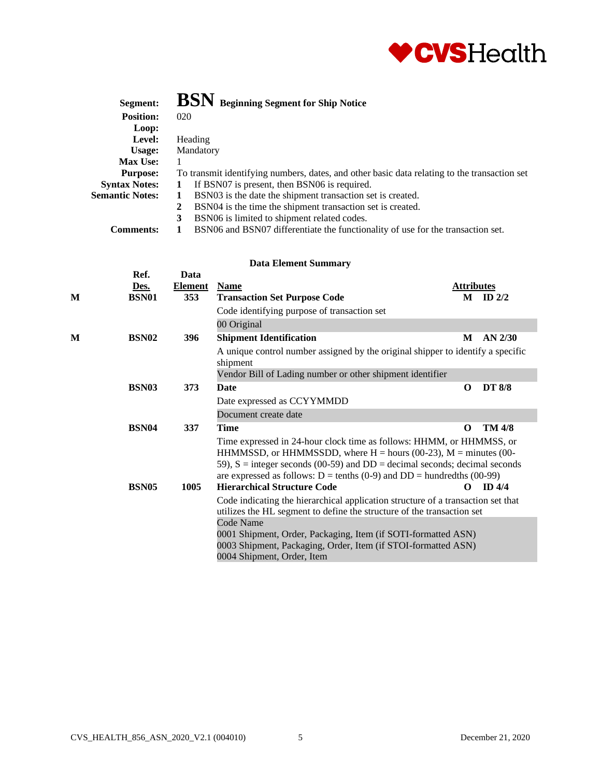

| Segment:               | BSN Beginning Segment for Ship Notice                                                        |
|------------------------|----------------------------------------------------------------------------------------------|
| <b>Position:</b>       | 020                                                                                          |
| Loop:                  |                                                                                              |
| Level:                 | Heading                                                                                      |
| Usage:                 | Mandatory                                                                                    |
| <b>Max Use:</b>        |                                                                                              |
| <b>Purpose:</b>        | To transmit identifying numbers, dates, and other basic data relating to the transaction set |
| <b>Syntax Notes:</b>   | If BSN07 is present, then BSN06 is required.                                                 |
| <b>Semantic Notes:</b> | BSN03 is the date the shipment transaction set is created.                                   |
|                        | BSN04 is the time the shipment transaction set is created.<br>2                              |
|                        | BSN06 is limited to shipment related codes.<br>3                                             |
| <b>Comments:</b>       | BSN06 and BSN07 differentiate the functionality of use for the transaction set.              |

|   | Ref.              | Data           |                                                                                                                                                                                                                                                                                                                           |                   |               |  |  |
|---|-------------------|----------------|---------------------------------------------------------------------------------------------------------------------------------------------------------------------------------------------------------------------------------------------------------------------------------------------------------------------------|-------------------|---------------|--|--|
|   | <u>Des.</u>       | <b>Element</b> | <b>Name</b>                                                                                                                                                                                                                                                                                                               | <b>Attributes</b> |               |  |  |
| М | <b>BSN01</b>      | 353            | <b>Transaction Set Purpose Code</b>                                                                                                                                                                                                                                                                                       |                   | $M$ ID $2/2$  |  |  |
|   |                   |                | Code identifying purpose of transaction set                                                                                                                                                                                                                                                                               |                   |               |  |  |
|   |                   |                | 00 Original                                                                                                                                                                                                                                                                                                               |                   |               |  |  |
| М | BSN02             | 396            | <b>Shipment Identification</b>                                                                                                                                                                                                                                                                                            | M                 | $AN$ 2/30     |  |  |
|   |                   |                | A unique control number assigned by the original shipper to identify a specific<br>shipment                                                                                                                                                                                                                               |                   |               |  |  |
|   |                   |                | Vendor Bill of Lading number or other shipment identifier                                                                                                                                                                                                                                                                 |                   |               |  |  |
|   | BSN <sub>03</sub> | 373            | <b>Date</b>                                                                                                                                                                                                                                                                                                               | $\Omega$          | <b>DT 8/8</b> |  |  |
|   |                   |                | Date expressed as CCYYMMDD                                                                                                                                                                                                                                                                                                |                   |               |  |  |
|   |                   |                | Document create date                                                                                                                                                                                                                                                                                                      |                   |               |  |  |
|   | <b>BSN04</b>      | 337            | <b>Time</b>                                                                                                                                                                                                                                                                                                               | $\Omega$          | <b>TM 4/8</b> |  |  |
|   |                   |                | Time expressed in 24-hour clock time as follows: HHMM, or HHMMSS, or<br>HHMMSSD, or HHMMSSDD, where $H =$ hours (00-23), $M =$ minutes (00-<br>59), $S =$ integer seconds (00-59) and $DD =$ decimal seconds; decimal seconds<br>are expressed as follows: $D = \text{tenths} (0.9)$ and $DD = \text{hundredths} (00-99)$ |                   |               |  |  |
|   | <b>BSN05</b>      | 1005           | <b>Hierarchical Structure Code</b>                                                                                                                                                                                                                                                                                        | O                 | ID4/4         |  |  |
|   |                   |                | Code indicating the hierarchical application structure of a transaction set that<br>utilizes the HL segment to define the structure of the transaction set                                                                                                                                                                |                   |               |  |  |
|   |                   |                | Code Name<br>0001 Shipment, Order, Packaging, Item (if SOTI-formatted ASN)<br>0003 Shipment, Packaging, Order, Item (if STOI-formatted ASN)                                                                                                                                                                               |                   |               |  |  |
|   |                   |                | 0004 Shipment, Order, Item                                                                                                                                                                                                                                                                                                |                   |               |  |  |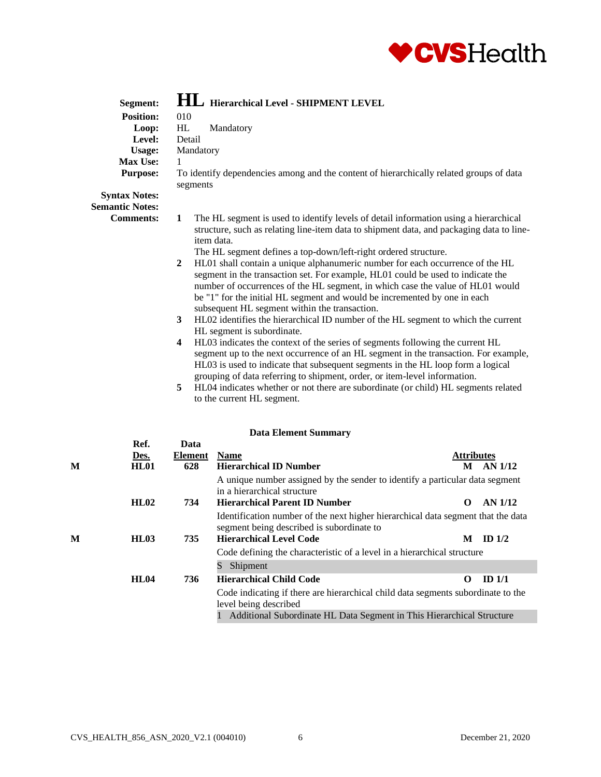

| Segment:<br><b>Position:</b><br>Loop:<br>Level:<br><b>Usage:</b><br><b>Max Use:</b><br><b>Purpose:</b> | <b>HL</b> Hierarchical Level - SHIPMENT LEVEL<br>010<br>HL<br>Mandatory<br>Detail<br>Mandatory<br>1<br>To identify dependencies among and the content of hierarchically related groups of data<br>segments                                                                                                                                                                                                                                                                                                                                                                                                                                                                                                                                                                                                                                                                                                                                                                                                                                                                                                                                                                                                                                                                   |                   |
|--------------------------------------------------------------------------------------------------------|------------------------------------------------------------------------------------------------------------------------------------------------------------------------------------------------------------------------------------------------------------------------------------------------------------------------------------------------------------------------------------------------------------------------------------------------------------------------------------------------------------------------------------------------------------------------------------------------------------------------------------------------------------------------------------------------------------------------------------------------------------------------------------------------------------------------------------------------------------------------------------------------------------------------------------------------------------------------------------------------------------------------------------------------------------------------------------------------------------------------------------------------------------------------------------------------------------------------------------------------------------------------------|-------------------|
| <b>Syntax Notes:</b><br><b>Semantic Notes:</b><br><b>Comments:</b>                                     | 1<br>The HL segment is used to identify levels of detail information using a hierarchical<br>structure, such as relating line-item data to shipment data, and packaging data to line-<br>item data.<br>The HL segment defines a top-down/left-right ordered structure.<br>$\boldsymbol{2}$<br>HL01 shall contain a unique alphanumeric number for each occurrence of the HL<br>segment in the transaction set. For example, HL01 could be used to indicate the<br>number of occurrences of the HL segment, in which case the value of HL01 would<br>be "1" for the initial HL segment and would be incremented by one in each<br>subsequent HL segment within the transaction.<br>HL02 identifies the hierarchical ID number of the HL segment to which the current<br>3<br>HL segment is subordinate.<br>HL03 indicates the context of the series of segments following the current HL<br>4<br>segment up to the next occurrence of an HL segment in the transaction. For example,<br>HL03 is used to indicate that subsequent segments in the HL loop form a logical<br>grouping of data referring to shipment, order, or item-level information.<br>5<br>HL04 indicates whether or not there are subordinate (or child) HL segments related<br>to the current HL segment. |                   |
| Ref.<br>Des.                                                                                           | <b>Data Element Summary</b><br>Data<br><b>Element</b><br><b>Name</b>                                                                                                                                                                                                                                                                                                                                                                                                                                                                                                                                                                                                                                                                                                                                                                                                                                                                                                                                                                                                                                                                                                                                                                                                         | <b>Attributes</b> |
| $\bf M$<br><b>HL01</b>                                                                                 | <b>Hierarchical ID Number</b><br>628                                                                                                                                                                                                                                                                                                                                                                                                                                                                                                                                                                                                                                                                                                                                                                                                                                                                                                                                                                                                                                                                                                                                                                                                                                         | $M$ AN $1/12$     |

| M | HL01        | 628 | <b>Hierarchical ID Number</b>                                                                                                                       | M                 | AN 1/12           |
|---|-------------|-----|-----------------------------------------------------------------------------------------------------------------------------------------------------|-------------------|-------------------|
|   | <b>HL02</b> | 734 | A unique number assigned by the sender to identify a particular data segment<br>in a hierarchical structure<br><b>Hierarchical Parent ID Number</b> | $\mathbf{\Omega}$ | AN 1/12           |
|   |             |     | Identification number of the next higher hierarchical data segment that the data<br>segment being described is subordinate to                       |                   |                   |
| M | <b>HL03</b> | 735 | <b>Hierarchical Level Code</b>                                                                                                                      | M                 | ID $1/2$          |
|   |             |     | Code defining the characteristic of a level in a hierarchical structure                                                                             |                   |                   |
|   |             |     | Shipment                                                                                                                                            |                   |                   |
|   | <b>HL04</b> | 736 | <b>Hierarchical Child Code</b>                                                                                                                      | 0                 | ID <sub>1/1</sub> |
|   |             |     | Code indicating if there are hierarchical child data segments subordinate to the<br>level being described                                           |                   |                   |
|   |             |     | --- -<br>$\mathbf{r}$ and $\mathbf{r}$ and $\mathbf{r}$                                                                                             | .                 |                   |

1 Additional Subordinate HL Data Segment in This Hierarchical Structure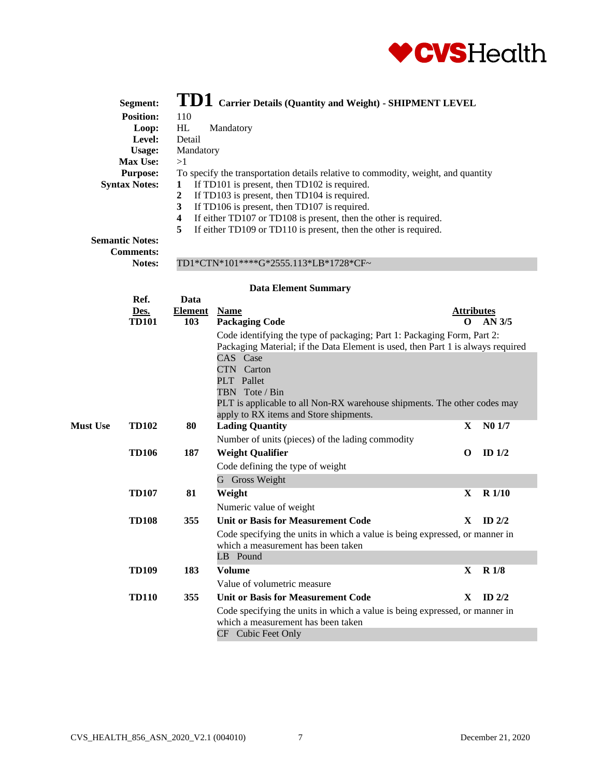

|                 | Segment:               |                                                 | $\bold{T}\bold{D1} \ \text{Carrier Details}$ (Quantity and Weight) - SHIPMENT LEVEL                                                                                                                                                                                                  |                   |                    |
|-----------------|------------------------|-------------------------------------------------|--------------------------------------------------------------------------------------------------------------------------------------------------------------------------------------------------------------------------------------------------------------------------------------|-------------------|--------------------|
|                 | <b>Position:</b>       | 110                                             |                                                                                                                                                                                                                                                                                      |                   |                    |
|                 | Loop:                  | HL                                              | Mandatory                                                                                                                                                                                                                                                                            |                   |                    |
|                 | Level:                 | Detail                                          |                                                                                                                                                                                                                                                                                      |                   |                    |
|                 | <b>Usage:</b>          | Mandatory                                       |                                                                                                                                                                                                                                                                                      |                   |                    |
|                 | Max Use:               | >1                                              |                                                                                                                                                                                                                                                                                      |                   |                    |
|                 | <b>Purpose:</b>        |                                                 | To specify the transportation details relative to commodity, weight, and quantity                                                                                                                                                                                                    |                   |                    |
|                 | <b>Syntax Notes:</b>   | 1<br>$\boldsymbol{2}$<br>$\mathbf{3}$<br>4<br>5 | If TD101 is present, then TD102 is required.<br>If TD103 is present, then TD104 is required.<br>If TD106 is present, then TD107 is required.<br>If either TD107 or TD108 is present, then the other is required.<br>If either TD109 or TD110 is present, then the other is required. |                   |                    |
|                 | <b>Semantic Notes:</b> |                                                 |                                                                                                                                                                                                                                                                                      |                   |                    |
|                 | <b>Comments:</b>       |                                                 |                                                                                                                                                                                                                                                                                      |                   |                    |
|                 | Notes:                 |                                                 | TD1*CTN*101****G*2555.113*LB*1728*CF~                                                                                                                                                                                                                                                |                   |                    |
|                 |                        |                                                 | <b>Data Element Summary</b>                                                                                                                                                                                                                                                          |                   |                    |
|                 | Ref.                   | Data                                            |                                                                                                                                                                                                                                                                                      |                   |                    |
|                 | Des.                   | <b>Element</b>                                  | <b>Name</b>                                                                                                                                                                                                                                                                          | <b>Attributes</b> |                    |
|                 | <b>TD101</b>           | 103                                             | <b>Packaging Code</b>                                                                                                                                                                                                                                                                | 0                 | $AN$ 3/5           |
|                 |                        |                                                 | Code identifying the type of packaging; Part 1: Packaging Form, Part 2:                                                                                                                                                                                                              |                   |                    |
|                 |                        |                                                 | Packaging Material; if the Data Element is used, then Part 1 is always required<br>CAS Case<br>CTN Carton<br>PLT Pallet<br>TBN Tote / Bin<br>PLT is applicable to all Non-RX warehouse shipments. The other codes may<br>apply to RX items and Store shipments.                      |                   |                    |
| <b>Must Use</b> | <b>TD102</b>           | 80                                              | <b>Lading Quantity</b>                                                                                                                                                                                                                                                               | X                 | N <sub>0</sub> 1/7 |
|                 |                        |                                                 | Number of units (pieces) of the lading commodity                                                                                                                                                                                                                                     |                   |                    |
|                 | <b>TD106</b>           | 187                                             | <b>Weight Qualifier</b>                                                                                                                                                                                                                                                              | $\bf{O}$          | ID $1/2$           |
|                 |                        |                                                 |                                                                                                                                                                                                                                                                                      |                   |                    |
|                 |                        |                                                 | Code defining the type of weight<br>G Gross Weight                                                                                                                                                                                                                                   |                   |                    |
|                 | <b>TD107</b>           | 81                                              | Weight                                                                                                                                                                                                                                                                               | $\mathbf X$       | <b>R</b> 1/10      |
|                 |                        |                                                 |                                                                                                                                                                                                                                                                                      |                   |                    |
|                 |                        |                                                 | Numeric value of weight                                                                                                                                                                                                                                                              |                   |                    |
|                 | <b>TD108</b>           | 355                                             | <b>Unit or Basis for Measurement Code</b>                                                                                                                                                                                                                                            | X.                | ID $2/2$           |
|                 |                        |                                                 | Code specifying the units in which a value is being expressed, or manner in<br>which a measurement has been taken<br>LB Pound                                                                                                                                                        |                   |                    |
|                 | <b>TD109</b>           | 183                                             | <b>Volume</b>                                                                                                                                                                                                                                                                        | $\mathbf{X}$      | <b>R</b> 1/8       |
|                 |                        |                                                 | Value of volumetric measure                                                                                                                                                                                                                                                          |                   |                    |
|                 | <b>TD110</b>           | 355                                             | <b>Unit or Basis for Measurement Code</b>                                                                                                                                                                                                                                            | X.                | ID $2/2$           |
|                 |                        |                                                 | Code specifying the units in which a value is being expressed, or manner in<br>which a measurement has been taken<br>CF Cubic Feet Only                                                                                                                                              |                   |                    |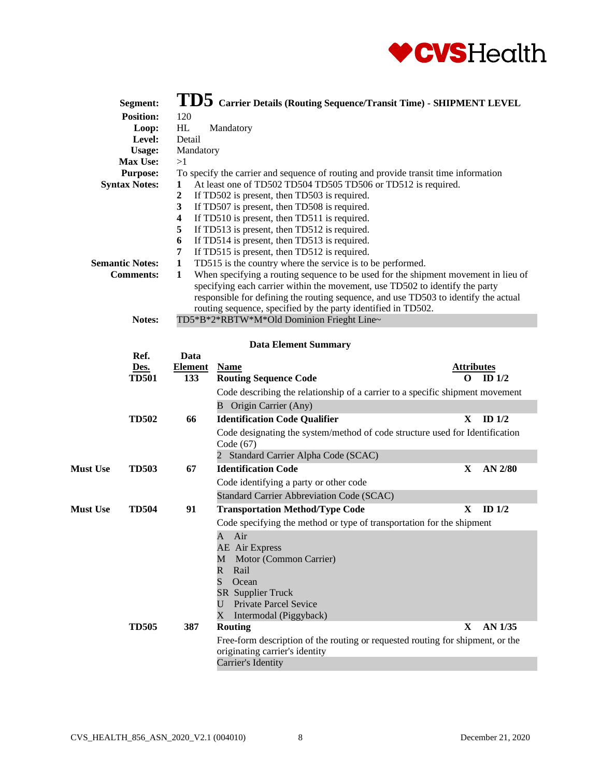

|                 | Segment:<br><b>Position:</b><br>Loop:<br>Level:<br><b>Usage:</b><br>Max Use:<br><b>Purpose:</b><br><b>Syntax Notes:</b><br><b>Semantic Notes:</b><br><b>Comments:</b><br>Notes: | 120<br>HL<br>Detail<br>Mandatory<br>>1<br>1<br>$\boldsymbol{2}$<br>$\mathbf{3}$<br>$\overline{\mathbf{4}}$<br>5<br>6<br>7<br>$\mathbf{1}$<br>$\mathbf{1}$ | $\bf{TDS}$ Carrier Details (Routing Sequence/Transit Time) - SHIPMENT LEVEL<br>Mandatory<br>To specify the carrier and sequence of routing and provide transit time information<br>At least one of TD502 TD504 TD505 TD506 or TD512 is required.<br>If TD502 is present, then TD503 is required.<br>If TD507 is present, then TD508 is required.<br>If TD510 is present, then TD511 is required.<br>If TD513 is present, then TD512 is required.<br>If TD514 is present, then TD513 is required.<br>If TD515 is present, then TD512 is required.<br>TD515 is the country where the service is to be performed.<br>When specifying a routing sequence to be used for the shipment movement in lieu of<br>specifying each carrier within the movement, use TD502 to identify the party<br>responsible for defining the routing sequence, and use TD503 to identify the actual<br>routing sequence, specified by the party identified in TD502.<br>TD5*B*2*RBTW*M*Old Dominion Frieght Line~ |                        |          |
|-----------------|---------------------------------------------------------------------------------------------------------------------------------------------------------------------------------|-----------------------------------------------------------------------------------------------------------------------------------------------------------|-------------------------------------------------------------------------------------------------------------------------------------------------------------------------------------------------------------------------------------------------------------------------------------------------------------------------------------------------------------------------------------------------------------------------------------------------------------------------------------------------------------------------------------------------------------------------------------------------------------------------------------------------------------------------------------------------------------------------------------------------------------------------------------------------------------------------------------------------------------------------------------------------------------------------------------------------------------------------------------------|------------------------|----------|
|                 |                                                                                                                                                                                 |                                                                                                                                                           |                                                                                                                                                                                                                                                                                                                                                                                                                                                                                                                                                                                                                                                                                                                                                                                                                                                                                                                                                                                           |                        |          |
|                 |                                                                                                                                                                                 |                                                                                                                                                           | <b>Data Element Summary</b>                                                                                                                                                                                                                                                                                                                                                                                                                                                                                                                                                                                                                                                                                                                                                                                                                                                                                                                                                               |                        |          |
|                 | Ref.                                                                                                                                                                            | Data                                                                                                                                                      |                                                                                                                                                                                                                                                                                                                                                                                                                                                                                                                                                                                                                                                                                                                                                                                                                                                                                                                                                                                           |                        |          |
|                 | Des.<br><b>TD501</b>                                                                                                                                                            | <b>Element</b><br>133                                                                                                                                     | <b>Name</b>                                                                                                                                                                                                                                                                                                                                                                                                                                                                                                                                                                                                                                                                                                                                                                                                                                                                                                                                                                               | <b>Attributes</b><br>O | ID $1/2$ |
|                 |                                                                                                                                                                                 |                                                                                                                                                           | <b>Routing Sequence Code</b>                                                                                                                                                                                                                                                                                                                                                                                                                                                                                                                                                                                                                                                                                                                                                                                                                                                                                                                                                              |                        |          |
|                 |                                                                                                                                                                                 |                                                                                                                                                           | Code describing the relationship of a carrier to a specific shipment movement                                                                                                                                                                                                                                                                                                                                                                                                                                                                                                                                                                                                                                                                                                                                                                                                                                                                                                             |                        |          |
|                 |                                                                                                                                                                                 |                                                                                                                                                           | <b>B</b> Origin Carrier (Any)                                                                                                                                                                                                                                                                                                                                                                                                                                                                                                                                                                                                                                                                                                                                                                                                                                                                                                                                                             |                        |          |
|                 | <b>TD502</b>                                                                                                                                                                    | 66                                                                                                                                                        | <b>Identification Code Qualifier</b>                                                                                                                                                                                                                                                                                                                                                                                                                                                                                                                                                                                                                                                                                                                                                                                                                                                                                                                                                      | $\mathbf X$            | ID $1/2$ |
|                 |                                                                                                                                                                                 |                                                                                                                                                           | Code designating the system/method of code structure used for Identification<br>Code $(67)$                                                                                                                                                                                                                                                                                                                                                                                                                                                                                                                                                                                                                                                                                                                                                                                                                                                                                               |                        |          |
|                 |                                                                                                                                                                                 |                                                                                                                                                           | 2 Standard Carrier Alpha Code (SCAC)                                                                                                                                                                                                                                                                                                                                                                                                                                                                                                                                                                                                                                                                                                                                                                                                                                                                                                                                                      |                        |          |
| <b>Must Use</b> | <b>TD503</b>                                                                                                                                                                    | 67                                                                                                                                                        | <b>Identification Code</b>                                                                                                                                                                                                                                                                                                                                                                                                                                                                                                                                                                                                                                                                                                                                                                                                                                                                                                                                                                | X                      | AN 2/80  |
|                 |                                                                                                                                                                                 |                                                                                                                                                           | Code identifying a party or other code                                                                                                                                                                                                                                                                                                                                                                                                                                                                                                                                                                                                                                                                                                                                                                                                                                                                                                                                                    |                        |          |
|                 |                                                                                                                                                                                 |                                                                                                                                                           | Standard Carrier Abbreviation Code (SCAC)                                                                                                                                                                                                                                                                                                                                                                                                                                                                                                                                                                                                                                                                                                                                                                                                                                                                                                                                                 |                        |          |
| <b>Must Use</b> | <b>TD504</b>                                                                                                                                                                    | 91                                                                                                                                                        | <b>Transportation Method/Type Code</b>                                                                                                                                                                                                                                                                                                                                                                                                                                                                                                                                                                                                                                                                                                                                                                                                                                                                                                                                                    | X                      | ID $1/2$ |
|                 |                                                                                                                                                                                 |                                                                                                                                                           | Code specifying the method or type of transportation for the shipment                                                                                                                                                                                                                                                                                                                                                                                                                                                                                                                                                                                                                                                                                                                                                                                                                                                                                                                     |                        |          |
|                 |                                                                                                                                                                                 |                                                                                                                                                           | Air<br>A<br>AE Air Express<br>Motor (Common Carrier)<br>М                                                                                                                                                                                                                                                                                                                                                                                                                                                                                                                                                                                                                                                                                                                                                                                                                                                                                                                                 |                        |          |
|                 |                                                                                                                                                                                 |                                                                                                                                                           | $\mathbb{R}$<br>Rail<br>S<br>Ocean                                                                                                                                                                                                                                                                                                                                                                                                                                                                                                                                                                                                                                                                                                                                                                                                                                                                                                                                                        |                        |          |
|                 |                                                                                                                                                                                 |                                                                                                                                                           | <b>SR</b> Supplier Truck                                                                                                                                                                                                                                                                                                                                                                                                                                                                                                                                                                                                                                                                                                                                                                                                                                                                                                                                                                  |                        |          |
|                 |                                                                                                                                                                                 |                                                                                                                                                           | <b>Private Parcel Sevice</b><br>U                                                                                                                                                                                                                                                                                                                                                                                                                                                                                                                                                                                                                                                                                                                                                                                                                                                                                                                                                         |                        |          |
|                 |                                                                                                                                                                                 |                                                                                                                                                           | $\rm X$<br>Intermodal (Piggyback)                                                                                                                                                                                                                                                                                                                                                                                                                                                                                                                                                                                                                                                                                                                                                                                                                                                                                                                                                         |                        |          |
|                 | <b>TD505</b>                                                                                                                                                                    | 387                                                                                                                                                       | <b>Routing</b>                                                                                                                                                                                                                                                                                                                                                                                                                                                                                                                                                                                                                                                                                                                                                                                                                                                                                                                                                                            | X                      | AN 1/35  |
|                 |                                                                                                                                                                                 |                                                                                                                                                           | Free-form description of the routing or requested routing for shipment, or the<br>originating carrier's identity                                                                                                                                                                                                                                                                                                                                                                                                                                                                                                                                                                                                                                                                                                                                                                                                                                                                          |                        |          |

Carrier's Identity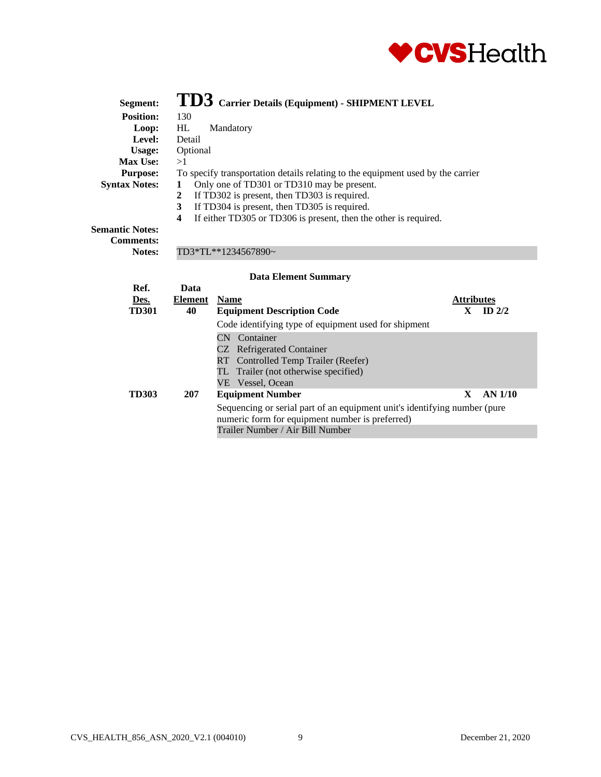

| Segment:                                   | TD3 Carrier Details (Equipment) - SHIPMENT LEVEL                                |
|--------------------------------------------|---------------------------------------------------------------------------------|
| <b>Position:</b>                           | 130                                                                             |
| Loop:                                      | HL<br>Mandatory                                                                 |
| Level:                                     | Detail                                                                          |
| Usage:                                     | Optional                                                                        |
| <b>Max Use:</b>                            | >1                                                                              |
| <b>Purpose:</b>                            | To specify transportation details relating to the equipment used by the carrier |
| <b>Syntax Notes:</b>                       | Only one of TD301 or TD310 may be present.                                      |
|                                            | If TD302 is present, then TD303 is required.<br>2                               |
|                                            | If TD304 is present, then TD305 is required.<br>3                               |
|                                            | If either TD305 or TD306 is present, then the other is required.<br>4           |
| <b>Semantic Notes:</b><br><b>Comments:</b> |                                                                                 |
| Notes:                                     | TD3*TL**1234567890~                                                             |

| Data    |                                                      |   |                                                                                                |
|---------|------------------------------------------------------|---|------------------------------------------------------------------------------------------------|
| Element | <b>Name</b>                                          |   |                                                                                                |
| 40      | ID $2/2$<br><b>Equipment Description Code</b>        |   |                                                                                                |
|         | Code identifying type of equipment used for shipment |   |                                                                                                |
|         | CN Container                                         |   |                                                                                                |
|         | CZ Refrigerated Container                            |   |                                                                                                |
|         | RT Controlled Temp Trailer (Reefer)                  |   |                                                                                                |
|         | TL Trailer (not otherwise specified)                 |   |                                                                                                |
|         | VE Vessel, Ocean                                     |   |                                                                                                |
| 207     | <b>Equipment Number</b>                              | X | AN 1/10                                                                                        |
|         |                                                      |   |                                                                                                |
|         | numeric form for equipment number is preferred)      |   |                                                                                                |
|         | Trailer Number / Air Bill Number                     |   |                                                                                                |
|         |                                                      |   | <b>Attributes</b><br>Sequencing or serial part of an equipment unit's identifying number (pure |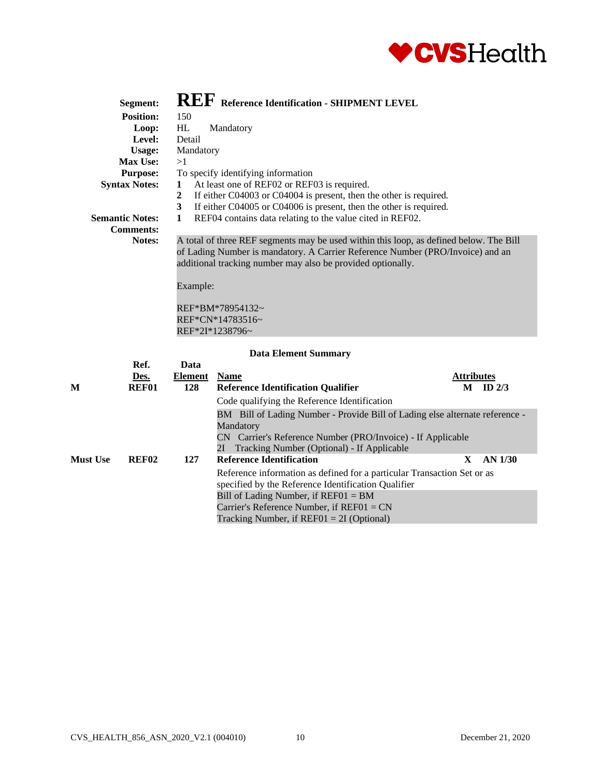

| Segment:               | <b>REF</b> Reference Identification - SHIPMENT LEVEL                                   |
|------------------------|----------------------------------------------------------------------------------------|
|                        |                                                                                        |
| <b>Position:</b>       | 150                                                                                    |
| Loop:                  | HL<br>Mandatory                                                                        |
| Level:                 | Detail                                                                                 |
| Usage:                 | Mandatory                                                                              |
| Max Use:               | >1                                                                                     |
| <b>Purpose:</b>        | To specify identifying information                                                     |
| <b>Syntax Notes:</b>   | At least one of REF02 or REF03 is required.<br>$\mathbf{1}$                            |
|                        | If either C04003 or C04004 is present, then the other is required.<br>$\overline{2}$   |
|                        | 3<br>If either C04005 or C04006 is present, then the other is required.                |
| <b>Semantic Notes:</b> | REF04 contains data relating to the value cited in REF02.<br>1                         |
| <b>Comments:</b>       |                                                                                        |
| Notes:                 | A total of three REF segments may be used within this loop, as defined below. The Bill |
|                        | of Lading Number is mandatory. A Carrier Reference Number (PRO/Invoice) and an         |
|                        | additional tracking number may also be provided optionally.                            |
|                        |                                                                                        |
|                        |                                                                                        |
|                        | Example:                                                                               |
|                        |                                                                                        |
|                        | REF*BM*78954132~                                                                       |
|                        | REF*CN*14783516~                                                                       |
|                        | REF*2I*1238796~                                                                        |
|                        |                                                                                        |
|                        | <b>Data Element Summary</b>                                                            |
| Ref.                   | Data                                                                                   |
| Des                    | <b>Attributes</b><br>Element Name                                                      |

| M               | Ref.<br>Des.<br><b>REF01</b> | Data<br><b>Element</b><br>128 | <b>Name</b><br><b>Reference Identification Qualifier</b>                                                                       | <b>Attributes</b><br>М | ID $2/3$ |
|-----------------|------------------------------|-------------------------------|--------------------------------------------------------------------------------------------------------------------------------|------------------------|----------|
|                 |                              |                               | Code qualifying the Reference Identification<br>BM Bill of Lading Number - Provide Bill of Lading else alternate reference -   |                        |          |
|                 |                              |                               | Mandatory                                                                                                                      |                        |          |
|                 |                              |                               | CN Carrier's Reference Number (PRO/Invoice) - If Applicable<br>2I Tracking Number (Optional) - If Applicable                   |                        |          |
| <b>Must Use</b> | <b>REF02</b>                 | 127                           | <b>Reference Identification</b>                                                                                                | X                      | AN 1/30  |
|                 |                              |                               | Reference information as defined for a particular Transaction Set or as<br>specified by the Reference Identification Qualifier |                        |          |
|                 |                              |                               | Bill of Lading Number, if $REFO1 = BM$                                                                                         |                        |          |
|                 |                              |                               | Carrier's Reference Number, if $REFO1 = CN$                                                                                    |                        |          |
|                 |                              |                               | Tracking Number, if $REFO1 = 2I$ (Optional)                                                                                    |                        |          |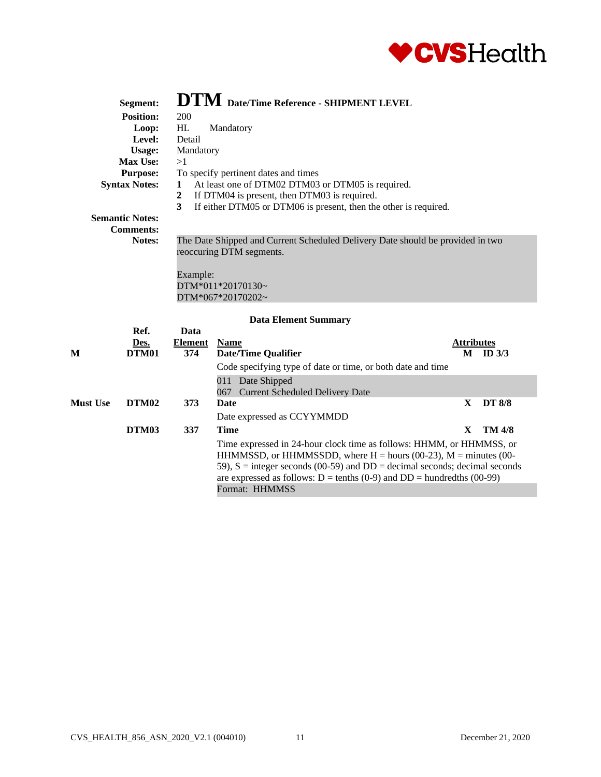

|                 | Segment:               |                        | <b>DTM</b> Date/Time Reference - SHIPMENT LEVEL                                                                                                                       |                   |               |
|-----------------|------------------------|------------------------|-----------------------------------------------------------------------------------------------------------------------------------------------------------------------|-------------------|---------------|
|                 | <b>Position:</b>       | 200                    |                                                                                                                                                                       |                   |               |
|                 | Loop:                  | <b>HL</b>              | Mandatory                                                                                                                                                             |                   |               |
|                 | Level:                 | Detail                 |                                                                                                                                                                       |                   |               |
|                 | <b>Usage:</b>          | Mandatory              |                                                                                                                                                                       |                   |               |
|                 | Max Use:               | >1                     |                                                                                                                                                                       |                   |               |
|                 | <b>Purpose:</b>        |                        | To specify pertinent dates and times                                                                                                                                  |                   |               |
|                 | <b>Syntax Notes:</b>   | 1<br>$\mathbf{2}$<br>3 | At least one of DTM02 DTM03 or DTM05 is required.<br>If DTM04 is present, then DTM03 is required.<br>If either DTM05 or DTM06 is present, then the other is required. |                   |               |
|                 | <b>Semantic Notes:</b> |                        |                                                                                                                                                                       |                   |               |
|                 | <b>Comments:</b>       |                        |                                                                                                                                                                       |                   |               |
|                 | Notes:                 | Example:               | The Date Shipped and Current Scheduled Delivery Date should be provided in two<br>reoccuring DTM segments.<br>$DTM*011*20170130-$<br>$DTM*067*20170202$ ~             |                   |               |
|                 |                        |                        | <b>Data Element Summary</b>                                                                                                                                           |                   |               |
|                 | Ref.                   | Data                   |                                                                                                                                                                       |                   |               |
| M               | Des.<br>DTM01          | <b>Element</b><br>374  | <b>Name</b>                                                                                                                                                           | <b>Attributes</b> |               |
|                 |                        |                        | <b>Date/Time Qualifier</b>                                                                                                                                            | $M$ ID $3/3$      |               |
|                 |                        |                        | Code specifying type of date or time, or both date and time                                                                                                           |                   |               |
|                 |                        |                        | 011 Date Shipped<br><b>Current Scheduled Delivery Date</b><br>067                                                                                                     |                   |               |
| <b>Must Use</b> | DTM <sub>02</sub>      | 373                    | <b>Date</b>                                                                                                                                                           | X                 | <b>DT 8/8</b> |

| DTM02 | 373 | Date                                                                                                                                                                                                                                                                                                                    | $\mathbf{X}$ | DT 8/8 |
|-------|-----|-------------------------------------------------------------------------------------------------------------------------------------------------------------------------------------------------------------------------------------------------------------------------------------------------------------------------|--------------|--------|
|       |     | Date expressed as CCYYMMDD                                                                                                                                                                                                                                                                                              |              |        |
| DTM03 | 337 | Time                                                                                                                                                                                                                                                                                                                    | X            | TM 4/8 |
|       |     | Time expressed in 24-hour clock time as follows: HHMM, or HHMMSS, or<br>HHMMSSD, or HHMMSSDD, where $H =$ hours (00-23), $M =$ minutes (00-<br>59), $S =$ integer seconds (00-59) and DD = decimal seconds; decimal seconds<br>are expressed as follows: $D = \text{tenths} (0-9)$ and $DD = \text{hundredths} (00-99)$ |              |        |
|       |     | Format: HHMMSS                                                                                                                                                                                                                                                                                                          |              |        |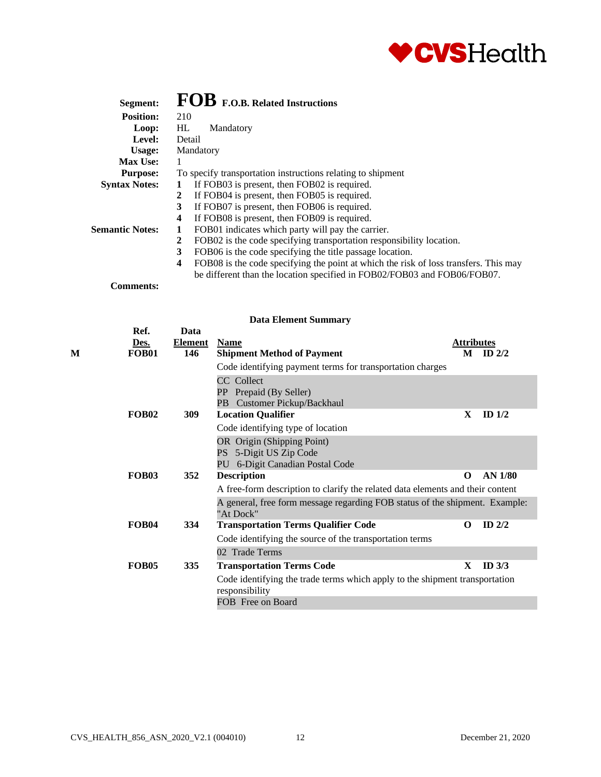

| Segment:               | FOB F.O.B. Related Instructions                                                                                 |
|------------------------|-----------------------------------------------------------------------------------------------------------------|
| <b>Position:</b>       | 210                                                                                                             |
| Loop:                  | HL.<br>Mandatory                                                                                                |
| Level:                 | Detail                                                                                                          |
| Usage:                 | Mandatory                                                                                                       |
| <b>Max Use:</b>        | 1                                                                                                               |
| <b>Purpose:</b>        | To specify transportation instructions relating to shipment                                                     |
| <b>Syntax Notes:</b>   | If FOB03 is present, then FOB02 is required.                                                                    |
|                        | If FOB04 is present, then FOB05 is required.<br>2                                                               |
|                        | 3<br>If FOB07 is present, then FOB06 is required.                                                               |
|                        | If FOB08 is present, then FOB09 is required.<br>$\boldsymbol{4}$                                                |
| <b>Semantic Notes:</b> | FOB01 indicates which party will pay the carrier.<br>1                                                          |
|                        | FOB02 is the code specifying transportation responsibility location.<br>2                                       |
|                        | 3<br>FOB06 is the code specifying the title passage location.                                                   |
|                        | FOB08 is the code specifying the point at which the risk of loss transfers. This may<br>$\overline{\mathbf{4}}$ |
|                        | be different than the location specified in FOB02/FOB03 and FOB06/FOB07.                                        |
| <b>Comments:</b>       |                                                                                                                 |

|   | Ref.              | Data           |                                                                                               |                   |                |
|---|-------------------|----------------|-----------------------------------------------------------------------------------------------|-------------------|----------------|
|   | Des.              | <b>Element</b> | <b>Name</b>                                                                                   | <b>Attributes</b> |                |
| М | FOB01             | 146            | <b>Shipment Method of Payment</b>                                                             |                   | $M$ ID $2/2$   |
|   |                   |                | Code identifying payment terms for transportation charges                                     |                   |                |
|   |                   |                | CC Collect                                                                                    |                   |                |
|   |                   |                | PP Prepaid (By Seller)                                                                        |                   |                |
|   |                   |                | PB Customer Pickup/Backhaul                                                                   |                   |                |
|   | <b>FOB02</b>      | 309            | <b>Location Qualifier</b>                                                                     | $\mathbf{x}$      | ID $1/2$       |
|   |                   |                | Code identifying type of location                                                             |                   |                |
|   |                   |                | OR Origin (Shipping Point)                                                                    |                   |                |
|   |                   |                | PS 5-Digit US Zip Code                                                                        |                   |                |
|   |                   |                | PU 6-Digit Canadian Postal Code                                                               |                   |                |
|   | <b>FOB03</b>      | 352            | <b>Description</b>                                                                            | $\Omega$          | <b>AN 1/80</b> |
|   |                   |                | A free-form description to clarify the related data elements and their content                |                   |                |
|   |                   |                | A general, free form message regarding FOB status of the shipment. Example:<br>"At Dock"      |                   |                |
|   | <b>FOB04</b>      | 334            | <b>Transportation Terms Qualifier Code</b>                                                    | $\Omega$          | ID $2/2$       |
|   |                   |                | Code identifying the source of the transportation terms                                       |                   |                |
|   |                   |                | 02 Trade Terms                                                                                |                   |                |
|   | FOB <sub>05</sub> | 335            | <b>Transportation Terms Code</b>                                                              | X                 | ID $3/3$       |
|   |                   |                | Code identifying the trade terms which apply to the shipment transportation<br>responsibility |                   |                |
|   |                   |                | FOB Free on Board                                                                             |                   |                |
|   |                   |                |                                                                                               |                   |                |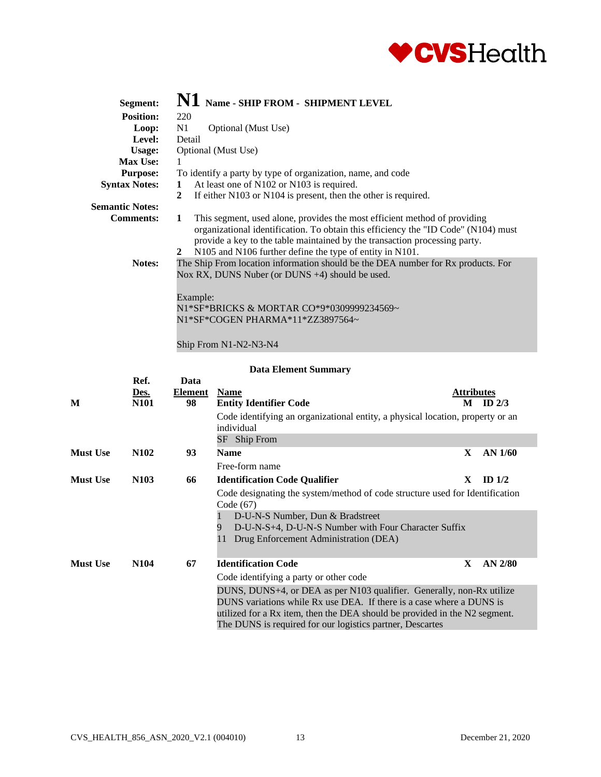

| Segment:               | N1 Name - SHIP FROM - SHIPMENT LEVEL                                                                                                                                                                                                                                                                                |
|------------------------|---------------------------------------------------------------------------------------------------------------------------------------------------------------------------------------------------------------------------------------------------------------------------------------------------------------------|
| <b>Position:</b>       | 220                                                                                                                                                                                                                                                                                                                 |
| Loop:                  | N1<br>Optional (Must Use)                                                                                                                                                                                                                                                                                           |
| <b>Level:</b>          | Detail                                                                                                                                                                                                                                                                                                              |
| Usage:                 | Optional (Must Use)                                                                                                                                                                                                                                                                                                 |
| Max Use:               | -1                                                                                                                                                                                                                                                                                                                  |
| <b>Purpose:</b>        | To identify a party by type of organization, name, and code                                                                                                                                                                                                                                                         |
| <b>Syntax Notes:</b>   | At least one of N102 or N103 is required.<br>1                                                                                                                                                                                                                                                                      |
|                        | If either N103 or N104 is present, then the other is required.<br>2                                                                                                                                                                                                                                                 |
| <b>Semantic Notes:</b> |                                                                                                                                                                                                                                                                                                                     |
| <b>Comments:</b>       | This segment, used alone, provides the most efficient method of providing<br>1<br>organizational identification. To obtain this efficiency the "ID Code" (N104) must<br>provide a key to the table maintained by the transaction processing party.<br>N105 and N106 further define the type of entity in N101.<br>2 |
| <b>Notes:</b>          | The Ship From location information should be the DEA number for Rx products. For<br>Nox RX, DUNS Nuber (or DUNS +4) should be used.                                                                                                                                                                                 |
|                        | Example:                                                                                                                                                                                                                                                                                                            |
|                        | N1*SF*BRICKS & MORTAR CO*9*0309999234569~                                                                                                                                                                                                                                                                           |
|                        | N1*SF*COGEN PHARMA*11*ZZ3897564~                                                                                                                                                                                                                                                                                    |

#### Ship From N1-N2-N3-N4

|  |  | <b>Data Element Summary</b> |
|--|--|-----------------------------|
|--|--|-----------------------------|

| M               | Ref.<br>Des.<br><b>N101</b> | Data<br><b>Element</b><br>98 | <b>Name</b><br><b>Entity Identifier Code</b><br>Code identifying an organizational entity, a physical location, property or an<br>individual                                                                                                                                             | <b>Attributes</b> | $M$ ID 2/3 |
|-----------------|-----------------------------|------------------------------|------------------------------------------------------------------------------------------------------------------------------------------------------------------------------------------------------------------------------------------------------------------------------------------|-------------------|------------|
|                 |                             |                              | SF Ship From                                                                                                                                                                                                                                                                             |                   |            |
| <b>Must Use</b> | N <sub>1</sub> 02           | 93                           | <b>Name</b>                                                                                                                                                                                                                                                                              | X                 | AN 1/60    |
|                 |                             |                              | Free-form name                                                                                                                                                                                                                                                                           |                   |            |
| <b>Must Use</b> | N <sub>103</sub>            | 66                           | <b>Identification Code Qualifier</b>                                                                                                                                                                                                                                                     | X                 | ID $1/2$   |
|                 |                             |                              | Code designating the system/method of code structure used for Identification<br>Code (67)<br>D-U-N-S Number, Dun & Bradstreet<br>D-U-N-S+4, D-U-N-S Number with Four Character Suffix<br>9<br>Drug Enforcement Administration (DEA)<br>11                                                |                   |            |
| <b>Must Use</b> | N <sub>104</sub>            | 67                           | <b>Identification Code</b>                                                                                                                                                                                                                                                               | X                 | $AN$ 2/80  |
|                 |                             |                              | Code identifying a party or other code                                                                                                                                                                                                                                                   |                   |            |
|                 |                             |                              | DUNS, DUNS+4, or DEA as per N103 qualifier. Generally, non-Rx utilize<br>DUNS variations while Rx use DEA. If there is a case where a DUNS is<br>utilized for a Rx item, then the DEA should be provided in the N2 segment.<br>The DUNS is required for our logistics partner, Descartes |                   |            |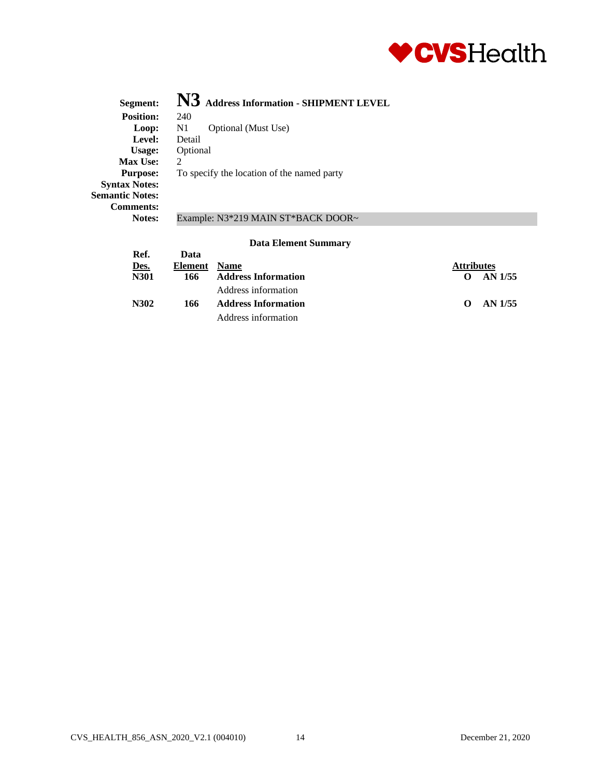

| Segment:               | N3 Address Information - SHIPMENT LEVEL    |
|------------------------|--------------------------------------------|
| <b>Position:</b>       | 240                                        |
| Loop:                  | Optional (Must Use)<br>N1                  |
| Level:                 | Detail                                     |
| Usage:                 | Optional                                   |
| Max Use:               | $\mathcal{D}$                              |
| <b>Purpose:</b>        | To specify the location of the named party |
| <b>Syntax Notes:</b>   |                                            |
| <b>Semantic Notes:</b> |                                            |
| <b>Comments:</b>       |                                            |
| Notes:                 | Example: N3*219 MAIN ST*BACK DOOR~         |
|                        |                                            |

|             |         | - ---- --------- ---- ------------ |                     |
|-------------|---------|------------------------------------|---------------------|
| Ref.        | Data    |                                    |                     |
| <u>Des.</u> | Element | <b>Name</b>                        | <b>Attributes</b>   |
| N301        | 166     | <b>Address Information</b>         | AN 1/55<br>$\Omega$ |
|             |         | Address information                |                     |
| N302        | 166     | <b>Address Information</b>         | AN 1/55<br>$\Omega$ |
|             |         | Address information                |                     |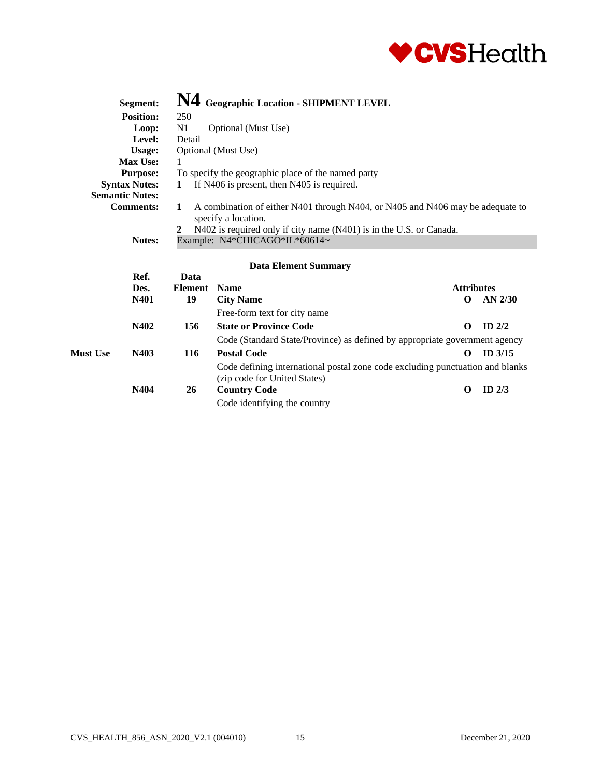

|                                                | Segment:                             |                | N4 Geographic Location - SHIPMENT LEVEL                                                                                                                                      |                   |           |  |
|------------------------------------------------|--------------------------------------|----------------|------------------------------------------------------------------------------------------------------------------------------------------------------------------------------|-------------------|-----------|--|
|                                                | <b>Position:</b>                     | 250            |                                                                                                                                                                              |                   |           |  |
| N <sub>1</sub><br>Optional (Must Use)<br>Loop: |                                      |                |                                                                                                                                                                              |                   |           |  |
| Level:<br>Detail                               |                                      |                |                                                                                                                                                                              |                   |           |  |
|                                                | <b>Usage:</b><br>Optional (Must Use) |                |                                                                                                                                                                              |                   |           |  |
|                                                | <b>Max Use:</b>                      |                |                                                                                                                                                                              |                   |           |  |
|                                                | <b>Purpose:</b>                      |                | To specify the geographic place of the named party                                                                                                                           |                   |           |  |
|                                                | <b>Syntax Notes:</b>                 | 1              | If N406 is present, then N405 is required.                                                                                                                                   |                   |           |  |
|                                                | <b>Semantic Notes:</b>               |                |                                                                                                                                                                              |                   |           |  |
| <b>Comments:</b><br>1<br>2                     |                                      |                | A combination of either N401 through N404, or N405 and N406 may be adequate to<br>specify a location.<br>N402 is required only if city name (N401) is in the U.S. or Canada. |                   |           |  |
|                                                | Notes:                               |                | Example: N4*CHICAGO*IL*60614~                                                                                                                                                |                   |           |  |
|                                                |                                      |                | <b>Data Element Summary</b>                                                                                                                                                  |                   |           |  |
|                                                | Ref.                                 | Data           |                                                                                                                                                                              |                   |           |  |
|                                                | Des.                                 | <b>Element</b> | <b>Name</b>                                                                                                                                                                  | <b>Attributes</b> |           |  |
|                                                | N401                                 | 19             | <b>City Name</b>                                                                                                                                                             | $\Omega$          | $AN$ 2/30 |  |
|                                                |                                      |                | Free-form text for city name                                                                                                                                                 |                   |           |  |
|                                                | N402                                 | 156            | <b>State or Province Code</b>                                                                                                                                                | $\Omega$          | ID $2/2$  |  |
|                                                |                                      |                | Code (Standard State/Province) as defined by appropriate government agency                                                                                                   |                   |           |  |
| <b>Must Use</b>                                | N403                                 | 116            | <b>Postal Code</b>                                                                                                                                                           | O                 | ID $3/15$ |  |
|                                                |                                      |                | Code defining international postal zone code excluding punctuation and blanks<br>(zip code for United States)                                                                |                   |           |  |

| N404 | (Zip code for United States)<br><b>Country Code</b> | ID $2/3$ |
|------|-----------------------------------------------------|----------|
|      | Code identifying the country                        |          |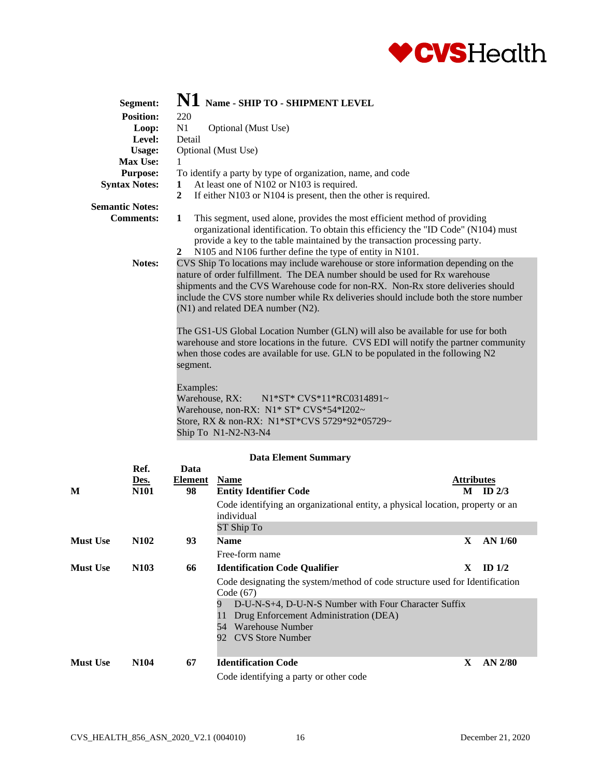

| Segment:               |                             |                                                       | $\bf{N1}$ Name - SHIP TO - SHIPMENT LEVEL                                                                           |                                                                                                                                                                                                                                                                                                                                                                                                                                                                                                                    |                                                                                        |
|------------------------|-----------------------------|-------------------------------------------------------|---------------------------------------------------------------------------------------------------------------------|--------------------------------------------------------------------------------------------------------------------------------------------------------------------------------------------------------------------------------------------------------------------------------------------------------------------------------------------------------------------------------------------------------------------------------------------------------------------------------------------------------------------|----------------------------------------------------------------------------------------|
| <b>Position:</b>       | 220                         |                                                       |                                                                                                                     |                                                                                                                                                                                                                                                                                                                                                                                                                                                                                                                    |                                                                                        |
| Loop:                  | N1                          | Optional (Must Use)                                   |                                                                                                                     |                                                                                                                                                                                                                                                                                                                                                                                                                                                                                                                    |                                                                                        |
| Level:                 | Detail                      |                                                       |                                                                                                                     |                                                                                                                                                                                                                                                                                                                                                                                                                                                                                                                    |                                                                                        |
| <b>Usage:</b>          |                             | Optional (Must Use)                                   |                                                                                                                     |                                                                                                                                                                                                                                                                                                                                                                                                                                                                                                                    |                                                                                        |
| Max Use:               |                             |                                                       |                                                                                                                     |                                                                                                                                                                                                                                                                                                                                                                                                                                                                                                                    |                                                                                        |
| <b>Purpose:</b>        |                             |                                                       | To identify a party by type of organization, name, and code                                                         |                                                                                                                                                                                                                                                                                                                                                                                                                                                                                                                    |                                                                                        |
| <b>Syntax Notes:</b>   | 1                           |                                                       | At least one of N102 or N103 is required.                                                                           |                                                                                                                                                                                                                                                                                                                                                                                                                                                                                                                    |                                                                                        |
|                        | $\mathbf{2}$                |                                                       | If either N103 or N104 is present, then the other is required.                                                      |                                                                                                                                                                                                                                                                                                                                                                                                                                                                                                                    |                                                                                        |
| <b>Semantic Notes:</b> |                             |                                                       |                                                                                                                     |                                                                                                                                                                                                                                                                                                                                                                                                                                                                                                                    |                                                                                        |
| <b>Comments:</b>       | 1<br>$\mathbf{2}$           |                                                       | N105 and N106 further define the type of entity in N101.                                                            | This segment, used alone, provides the most efficient method of providing<br>organizational identification. To obtain this efficiency the "ID Code" (N104) must<br>provide a key to the table maintained by the transaction processing party.                                                                                                                                                                                                                                                                      |                                                                                        |
| Notes:                 | segment.                    | (N1) and related DEA number (N2).                     |                                                                                                                     | CVS Ship To locations may include warehouse or store information depending on the<br>nature of order fulfillment. The DEA number should be used for Rx warehouse<br>shipments and the CVS Warehouse code for non-RX. Non-Rx store deliveries should<br>include the CVS store number while Rx deliveries should include both the store number<br>The GS1-US Global Location Number (GLN) will also be available for use for both<br>when those codes are available for use. GLN to be populated in the following N2 | warehouse and store locations in the future. CVS EDI will notify the partner community |
|                        | Examples:<br>Warehouse, RX: | Ship To N1-N2-N3-N4                                   | N1*ST* CVS*11*RC0314891~<br>Warehouse, non-RX: N1* ST* CVS*54*I202~<br>Store, RX & non-RX: N1*ST*CVS 5729*92*05729~ |                                                                                                                                                                                                                                                                                                                                                                                                                                                                                                                    |                                                                                        |
|                        |                             |                                                       |                                                                                                                     |                                                                                                                                                                                                                                                                                                                                                                                                                                                                                                                    |                                                                                        |
|                        |                             |                                                       | <b>Data Element Summary</b>                                                                                         |                                                                                                                                                                                                                                                                                                                                                                                                                                                                                                                    |                                                                                        |
| Ref.<br>Des.           | Data<br>Element             | <b>Name</b>                                           |                                                                                                                     |                                                                                                                                                                                                                                                                                                                                                                                                                                                                                                                    | <b>Attributes</b>                                                                      |
| М<br>N <sub>101</sub>  | 98                          | <b>Entity Identifier Code</b><br>$\sim$ $\sim$ $\sim$ |                                                                                                                     |                                                                                                                                                                                                                                                                                                                                                                                                                                                                                                                    | $M$ ID 2/3                                                                             |

| TAT.            | 131VI             | ↗∪ | Elitty Richtlitt Couc                                                                                                                                                                                                     | TAT T | - 110 AD  |
|-----------------|-------------------|----|---------------------------------------------------------------------------------------------------------------------------------------------------------------------------------------------------------------------------|-------|-----------|
|                 |                   |    | Code identifying an organizational entity, a physical location, property or an<br>individual<br>ST Ship To                                                                                                                |       |           |
| <b>Must Use</b> | N <sub>1</sub> 02 | 93 | <b>Name</b>                                                                                                                                                                                                               | X.    | AN $1/60$ |
|                 |                   |    | Free-form name                                                                                                                                                                                                            |       |           |
| <b>Must Use</b> | N <sub>10</sub> 3 | 66 | <b>Identification Code Qualifier</b>                                                                                                                                                                                      | X     | ID $1/2$  |
|                 |                   |    | Code designating the system/method of code structure used for Identification<br>Code (67)<br>D-U-N-S+4, D-U-N-S Number with Four Character Suffix<br>9<br>Drug Enforcement Administration (DEA)<br>Warehouse Number<br>54 |       |           |
|                 |                   |    | 92 CVS Store Number                                                                                                                                                                                                       |       |           |
| <b>Must Use</b> | N <sub>104</sub>  | 67 | <b>Identification Code</b><br>Code identifying a party or other code                                                                                                                                                      | X     | $AN$ 2/80 |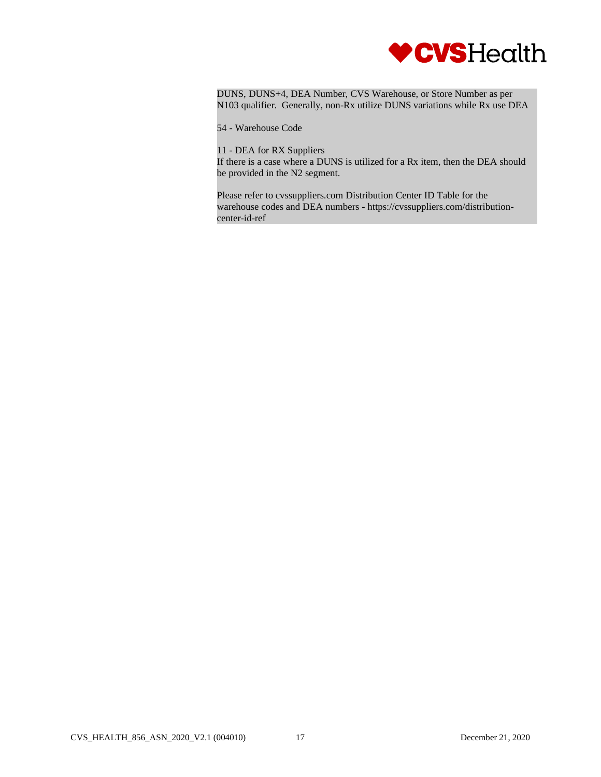

DUNS, DUNS+4, DEA Number, CVS Warehouse, or Store Number as per N103 qualifier. Generally, non-Rx utilize DUNS variations while Rx use DEA

54 - Warehouse Code

11 - DEA for RX Suppliers If there is a case where a DUNS is utilized for a Rx item, then the DEA should be provided in the N2 segment.

Please refer to cvssuppliers.com Distribution Center ID Table for the warehouse codes and DEA numbers - https://cvssuppliers.com/distributioncenter-id-ref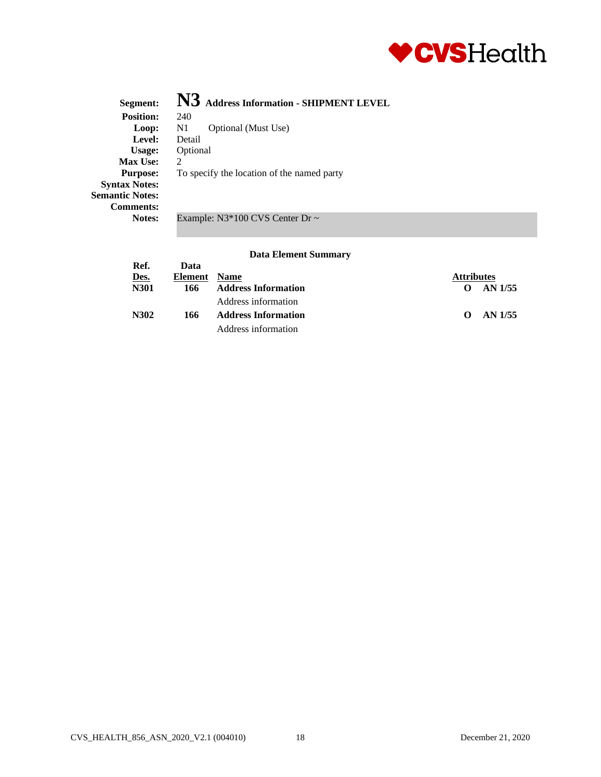

| Segment:                                                           | N3 Address Information - SHIPMENT LEVEL    |
|--------------------------------------------------------------------|--------------------------------------------|
| <b>Position:</b>                                                   | 240                                        |
| Loop:                                                              | Optional (Must Use)<br>N <sub>1</sub>      |
| Level:                                                             | Detail                                     |
| Usage:                                                             | Optional                                   |
| <b>Max Use:</b>                                                    | $\mathcal{D}_{\mathcal{L}}$                |
| <b>Purpose:</b>                                                    | To specify the location of the named party |
| <b>Syntax Notes:</b><br><b>Semantic Notes:</b><br><b>Comments:</b> |                                            |
| Notes:                                                             | Example: $N3*100$ CVS Center Dr $\sim$     |

| Ref.        | Data    |                            |                     |
|-------------|---------|----------------------------|---------------------|
| Des.        | Element | <b>Name</b>                | <b>Attributes</b>   |
| <b>N301</b> | 166     | <b>Address Information</b> | AN 1/55             |
|             |         | Address information        |                     |
| N302        | 166     | <b>Address Information</b> | AN 1/55<br>$\Omega$ |
|             |         | Address information        |                     |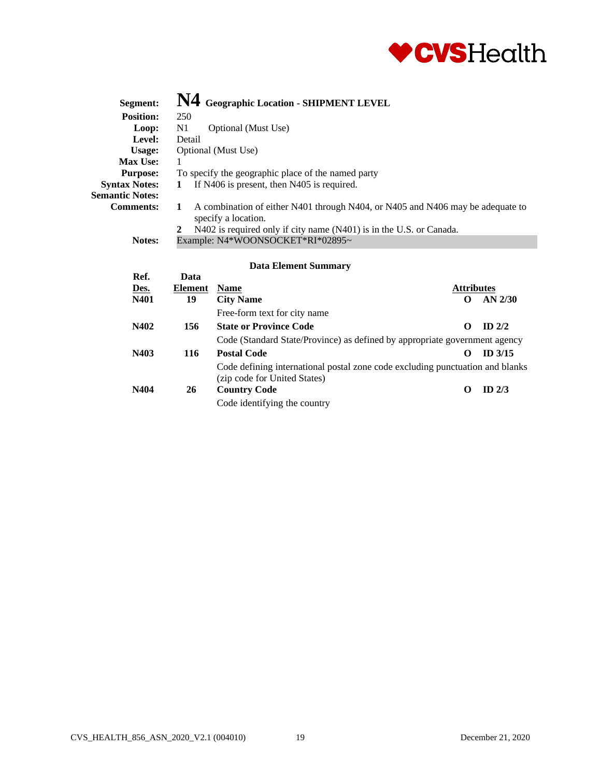

| Segment:               | N4 Geographic Location - SHIPMENT LEVEL                                                                                                                                                                                                                                                                     |
|------------------------|-------------------------------------------------------------------------------------------------------------------------------------------------------------------------------------------------------------------------------------------------------------------------------------------------------------|
| <b>Position:</b>       | 250                                                                                                                                                                                                                                                                                                         |
| Loop:                  | N1<br>Optional (Must Use)                                                                                                                                                                                                                                                                                   |
| Level:                 | Detail                                                                                                                                                                                                                                                                                                      |
| Usage:                 | Optional (Must Use)                                                                                                                                                                                                                                                                                         |
| <b>Max Use:</b>        |                                                                                                                                                                                                                                                                                                             |
| <b>Purpose:</b>        | To specify the geographic place of the named party                                                                                                                                                                                                                                                          |
| <b>Syntax Notes:</b>   | If N406 is present, then N405 is required.<br>$\bf{1}$                                                                                                                                                                                                                                                      |
| <b>Semantic Notes:</b> |                                                                                                                                                                                                                                                                                                             |
| <b>Comments:</b>       | A combination of either N401 through N404, or N405 and N406 may be adequate to<br>1<br>specify a location.                                                                                                                                                                                                  |
|                        | N402 is required only if city name (N401) is in the U.S. or Canada.<br>2                                                                                                                                                                                                                                    |
| Notos:                 | $F_{\rm v}}$ $\rm M_{\rm 4}$ $\rm W_{\rm 2}$ $\rm M_{\rm W}$ $\rm M_{\rm 2}$ $\rm M_{\rm 2}$ $\rm C_{\rm 2}$ $\rm T_{\rm 2}$ $\rm F_{\rm 2}$ $\rm M_{\rm 2}$ $\rm M_{\rm 2}$ $\rm M_{\rm 2}$ $\rm M_{\rm 2}$ $\rm M_{\rm 2}$ $\rm M_{\rm 2}$ $\rm M_{\rm 2}$ $\rm M_{\rm 2}$ $\rm M_{\rm 2}$ $\rm M_{\rm 2$ |

### Notes: Example: N4\*WOONSOCKET\*RI\*02895~

| Ref. | Data           |                                                                                                               |                   |           |
|------|----------------|---------------------------------------------------------------------------------------------------------------|-------------------|-----------|
| Des. | <b>Element</b> | <b>Name</b>                                                                                                   | <b>Attributes</b> |           |
| N401 | 19             | <b>City Name</b>                                                                                              |                   | $AN$ 2/30 |
|      |                | Free-form text for city name                                                                                  |                   |           |
| N402 | 156            | <b>State or Province Code</b>                                                                                 |                   | $ID$ 2/2  |
|      |                | Code (Standard State/Province) as defined by appropriate government agency                                    |                   |           |
| N403 | 116            | <b>Postal Code</b>                                                                                            |                   | $ID$ 3/15 |
|      |                | Code defining international postal zone code excluding punctuation and blanks<br>(zip code for United States) |                   |           |
| N404 | 26             | <b>Country Code</b>                                                                                           | 0                 | ID $2/3$  |
|      |                | Code identifying the country                                                                                  |                   |           |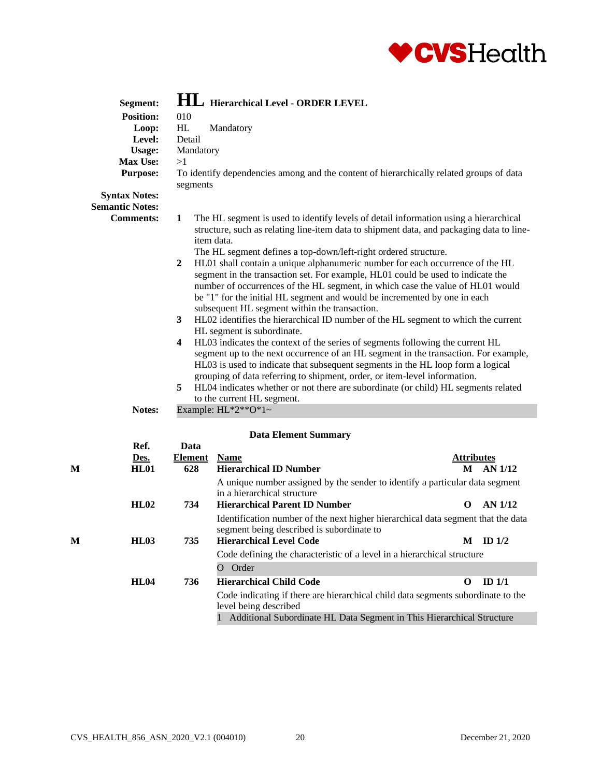

|   | Segment:               |                       | <b>HL</b> Hierarchical Level - ORDER LEVEL                                                                                                                                                                                                                                                                                                                                                                                                                                                                                                                                                                                                                                                                                                                                                                                                                                                                                                                                                                                                                                                                                                                                                                                           |                        |
|---|------------------------|-----------------------|--------------------------------------------------------------------------------------------------------------------------------------------------------------------------------------------------------------------------------------------------------------------------------------------------------------------------------------------------------------------------------------------------------------------------------------------------------------------------------------------------------------------------------------------------------------------------------------------------------------------------------------------------------------------------------------------------------------------------------------------------------------------------------------------------------------------------------------------------------------------------------------------------------------------------------------------------------------------------------------------------------------------------------------------------------------------------------------------------------------------------------------------------------------------------------------------------------------------------------------|------------------------|
|   | <b>Position:</b>       | 010                   |                                                                                                                                                                                                                                                                                                                                                                                                                                                                                                                                                                                                                                                                                                                                                                                                                                                                                                                                                                                                                                                                                                                                                                                                                                      |                        |
|   | Loop:                  | HL                    | Mandatory                                                                                                                                                                                                                                                                                                                                                                                                                                                                                                                                                                                                                                                                                                                                                                                                                                                                                                                                                                                                                                                                                                                                                                                                                            |                        |
|   | Level:                 | Detail                |                                                                                                                                                                                                                                                                                                                                                                                                                                                                                                                                                                                                                                                                                                                                                                                                                                                                                                                                                                                                                                                                                                                                                                                                                                      |                        |
|   | <b>Usage:</b>          | Mandatory             |                                                                                                                                                                                                                                                                                                                                                                                                                                                                                                                                                                                                                                                                                                                                                                                                                                                                                                                                                                                                                                                                                                                                                                                                                                      |                        |
|   | Max Use:               | >1                    |                                                                                                                                                                                                                                                                                                                                                                                                                                                                                                                                                                                                                                                                                                                                                                                                                                                                                                                                                                                                                                                                                                                                                                                                                                      |                        |
|   | <b>Purpose:</b>        |                       | To identify dependencies among and the content of hierarchically related groups of data                                                                                                                                                                                                                                                                                                                                                                                                                                                                                                                                                                                                                                                                                                                                                                                                                                                                                                                                                                                                                                                                                                                                              |                        |
|   |                        | segments              |                                                                                                                                                                                                                                                                                                                                                                                                                                                                                                                                                                                                                                                                                                                                                                                                                                                                                                                                                                                                                                                                                                                                                                                                                                      |                        |
|   | <b>Syntax Notes:</b>   |                       |                                                                                                                                                                                                                                                                                                                                                                                                                                                                                                                                                                                                                                                                                                                                                                                                                                                                                                                                                                                                                                                                                                                                                                                                                                      |                        |
|   | <b>Semantic Notes:</b> |                       |                                                                                                                                                                                                                                                                                                                                                                                                                                                                                                                                                                                                                                                                                                                                                                                                                                                                                                                                                                                                                                                                                                                                                                                                                                      |                        |
|   | <b>Comments:</b>       | 1<br>2<br>3<br>4<br>5 | The HL segment is used to identify levels of detail information using a hierarchical<br>structure, such as relating line-item data to shipment data, and packaging data to line-<br>item data.<br>The HL segment defines a top-down/left-right ordered structure.<br>HL01 shall contain a unique alphanumeric number for each occurrence of the HL<br>segment in the transaction set. For example, HL01 could be used to indicate the<br>number of occurrences of the HL segment, in which case the value of HL01 would<br>be "1" for the initial HL segment and would be incremented by one in each<br>subsequent HL segment within the transaction.<br>HL02 identifies the hierarchical ID number of the HL segment to which the current<br>HL segment is subordinate.<br>HL03 indicates the context of the series of segments following the current HL<br>segment up to the next occurrence of an HL segment in the transaction. For example,<br>HL03 is used to indicate that subsequent segments in the HL loop form a logical<br>grouping of data referring to shipment, order, or item-level information.<br>HL04 indicates whether or not there are subordinate (or child) HL segments related<br>to the current HL segment. |                        |
|   | Notes:                 |                       | Example: $HL^*2^{**}O^*1$ ~                                                                                                                                                                                                                                                                                                                                                                                                                                                                                                                                                                                                                                                                                                                                                                                                                                                                                                                                                                                                                                                                                                                                                                                                          |                        |
|   |                        |                       |                                                                                                                                                                                                                                                                                                                                                                                                                                                                                                                                                                                                                                                                                                                                                                                                                                                                                                                                                                                                                                                                                                                                                                                                                                      |                        |
|   |                        |                       | <b>Data Element Summary</b>                                                                                                                                                                                                                                                                                                                                                                                                                                                                                                                                                                                                                                                                                                                                                                                                                                                                                                                                                                                                                                                                                                                                                                                                          |                        |
|   | Ref.                   | Data                  |                                                                                                                                                                                                                                                                                                                                                                                                                                                                                                                                                                                                                                                                                                                                                                                                                                                                                                                                                                                                                                                                                                                                                                                                                                      |                        |
|   | Des.                   | <b>Element</b>        | <b>Name</b>                                                                                                                                                                                                                                                                                                                                                                                                                                                                                                                                                                                                                                                                                                                                                                                                                                                                                                                                                                                                                                                                                                                                                                                                                          | <b>Attributes</b>      |
| М | <b>HL01</b>            | 628                   | <b>Hierarchical ID Number</b>                                                                                                                                                                                                                                                                                                                                                                                                                                                                                                                                                                                                                                                                                                                                                                                                                                                                                                                                                                                                                                                                                                                                                                                                        | M AN 1/12              |
|   | HL02                   | 734                   | A unique number assigned by the sender to identify a particular data segment<br>in a hierarchical structure<br><b>Hierarchical Parent ID Number</b>                                                                                                                                                                                                                                                                                                                                                                                                                                                                                                                                                                                                                                                                                                                                                                                                                                                                                                                                                                                                                                                                                  | AN 1/12<br>O           |
|   |                        |                       | Identification number of the next higher hierarchical data segment that the data<br>segment being described is subordinate to                                                                                                                                                                                                                                                                                                                                                                                                                                                                                                                                                                                                                                                                                                                                                                                                                                                                                                                                                                                                                                                                                                        |                        |
| М | HL03                   | 735                   | <b>Hierarchical Level Code</b>                                                                                                                                                                                                                                                                                                                                                                                                                                                                                                                                                                                                                                                                                                                                                                                                                                                                                                                                                                                                                                                                                                                                                                                                       | $M$ ID $1/2$           |
|   |                        |                       | Code defining the characteristic of a level in a hierarchical structure                                                                                                                                                                                                                                                                                                                                                                                                                                                                                                                                                                                                                                                                                                                                                                                                                                                                                                                                                                                                                                                                                                                                                              |                        |
|   |                        |                       | O Order                                                                                                                                                                                                                                                                                                                                                                                                                                                                                                                                                                                                                                                                                                                                                                                                                                                                                                                                                                                                                                                                                                                                                                                                                              |                        |
|   | <b>HL04</b>            | 736                   | <b>Hierarchical Child Code</b>                                                                                                                                                                                                                                                                                                                                                                                                                                                                                                                                                                                                                                                                                                                                                                                                                                                                                                                                                                                                                                                                                                                                                                                                       | ID <sub>1/1</sub><br>0 |
|   |                        |                       | Code indicating if there are hierarchical child data segments subordinate to the                                                                                                                                                                                                                                                                                                                                                                                                                                                                                                                                                                                                                                                                                                                                                                                                                                                                                                                                                                                                                                                                                                                                                     |                        |

1 Additional Subordinate HL Data Segment in This Hierarchical Structure

level being described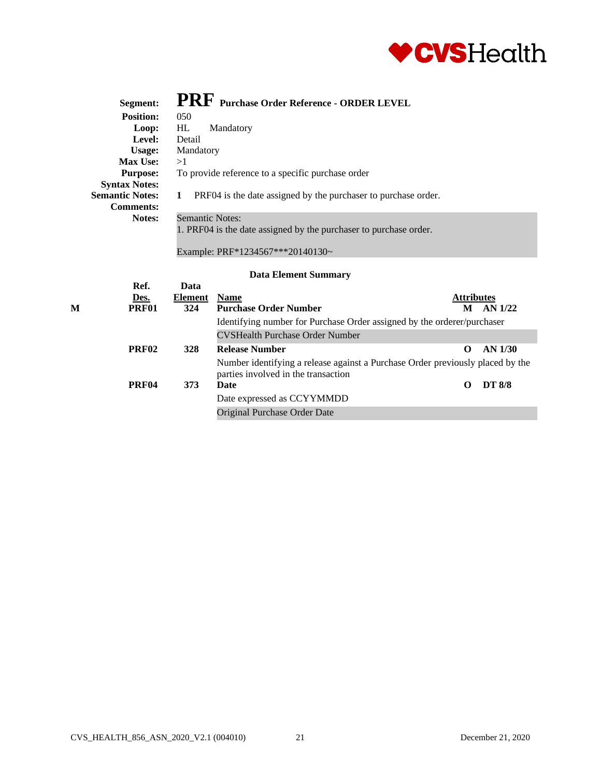

| Segment:               | PRF Purchase Order Reference - ORDER LEVEL                        |                   |
|------------------------|-------------------------------------------------------------------|-------------------|
| <b>Position:</b>       | 050                                                               |                   |
| Loop:                  | HL<br>Mandatory                                                   |                   |
| Level:                 | Detail                                                            |                   |
| Usage:                 | Mandatory                                                         |                   |
| <b>Max Use:</b>        | >1                                                                |                   |
| <b>Purpose:</b>        | To provide reference to a specific purchase order                 |                   |
| <b>Syntax Notes:</b>   |                                                                   |                   |
| <b>Semantic Notes:</b> | PRF04 is the date assigned by the purchase to purchase order.     |                   |
| <b>Comments:</b>       |                                                                   |                   |
| Notes:                 | <b>Semantic Notes:</b>                                            |                   |
|                        | 1. PRF04 is the date assigned by the purchaser to purchase order. |                   |
|                        |                                                                   |                   |
|                        | Example: PRF*1234567***20140130~                                  |                   |
|                        |                                                                   |                   |
|                        | <b>Data Element Summary</b>                                       |                   |
| Ref.                   | Data                                                              |                   |
| Des.                   | <b>Name</b><br>Element                                            | <b>Attributes</b> |

|   | <u>ijcs.</u>      | висшент    | таше                                                                                                                  | Attributes |               |
|---|-------------------|------------|-----------------------------------------------------------------------------------------------------------------------|------------|---------------|
| М | <b>PRF01</b>      | 324        | <b>Purchase Order Number</b>                                                                                          | M          | AN 1/22       |
|   |                   |            | Identifying number for Purchase Order assigned by the orderer/purchaser                                               |            |               |
|   |                   |            | <b>CVSHealth Purchase Order Number</b>                                                                                |            |               |
|   | PRF <sub>02</sub> | <b>328</b> | <b>Release Number</b>                                                                                                 | 0          | AN 1/30       |
|   |                   |            | Number identifying a release against a Purchase Order previously placed by the<br>parties involved in the transaction |            |               |
|   | PRF <sub>04</sub> | 373        | Date                                                                                                                  | $\Omega$   | <b>DT 8/8</b> |
|   |                   |            | Date expressed as CCYYMMDD                                                                                            |            |               |
|   |                   |            | Original Purchase Order Date                                                                                          |            |               |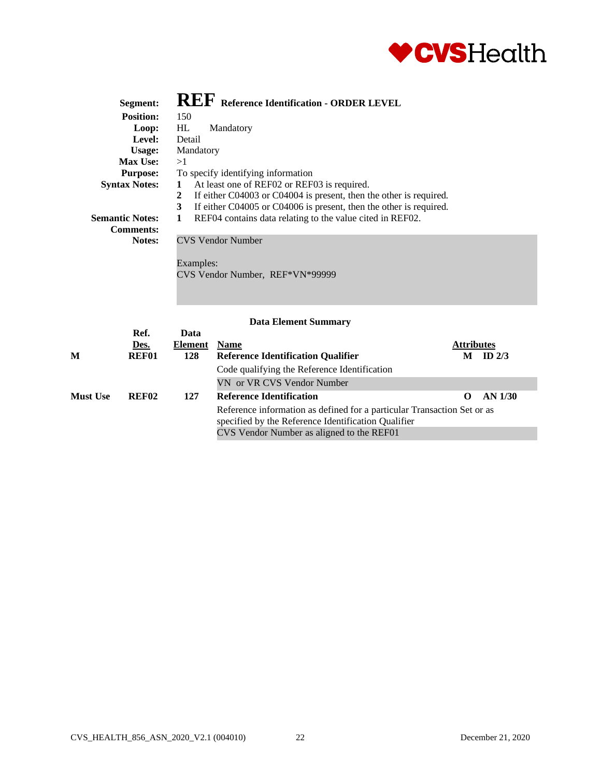

| Segment:                                                           | REF Reference Identification - ORDER LEVEL                                                                                                                                                                                                                                     |
|--------------------------------------------------------------------|--------------------------------------------------------------------------------------------------------------------------------------------------------------------------------------------------------------------------------------------------------------------------------|
| <b>Position:</b>                                                   | 150                                                                                                                                                                                                                                                                            |
| Loop:                                                              | HL<br>Mandatory                                                                                                                                                                                                                                                                |
| Level:                                                             | Detail                                                                                                                                                                                                                                                                         |
| <b>Usage:</b>                                                      | Mandatory                                                                                                                                                                                                                                                                      |
| <b>Max Use:</b>                                                    | >1                                                                                                                                                                                                                                                                             |
| <b>Purpose:</b>                                                    | To specify identifying information                                                                                                                                                                                                                                             |
| <b>Syntax Notes:</b><br><b>Semantic Notes:</b><br><b>Comments:</b> | At least one of REF02 or REF03 is required.<br>$\mathbf{1}$<br>If either C04003 or C04004 is present, then the other is required.<br>2<br>If either C04005 or C04006 is present, then the other is required.<br>3<br>REF04 contains data relating to the value cited in REF02. |
| Notes:                                                             | <b>CVS Vendor Number</b><br>Examples:<br>CVS Vendor Number, REF*VN*99999                                                                                                                                                                                                       |

|                 | Ref.              | Data    |                                                                                                                                |                   |          |
|-----------------|-------------------|---------|--------------------------------------------------------------------------------------------------------------------------------|-------------------|----------|
|                 | Des.              | Element | <b>Name</b>                                                                                                                    | <b>Attributes</b> |          |
| M               | REF01             | 128     | <b>Reference Identification Qualifier</b>                                                                                      | M                 | ID $2/3$ |
|                 |                   |         | Code qualifying the Reference Identification                                                                                   |                   |          |
|                 |                   |         | VN or VR CVS Vendor Number                                                                                                     |                   |          |
| <b>Must Use</b> | REF <sub>02</sub> | 127     | <b>Reference Identification</b>                                                                                                |                   | AN 1/30  |
|                 |                   |         | Reference information as defined for a particular Transaction Set or as<br>specified by the Reference Identification Qualifier |                   |          |
|                 |                   |         |                                                                                                                                |                   |          |
|                 |                   |         | CVS Vendor Number as aligned to the REF01                                                                                      |                   |          |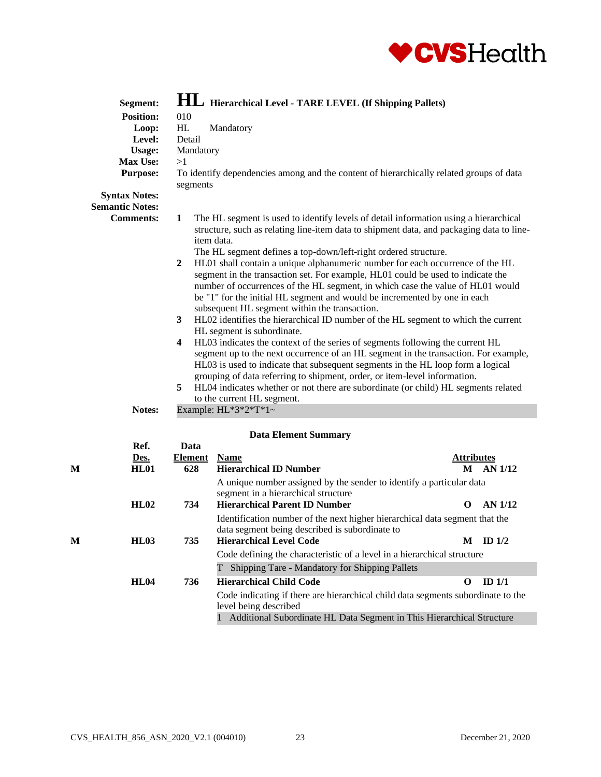

|   | Segment:               |             | <b>HL</b> Hierarchical Level - TARE LEVEL (If Shipping Pallets)                                                                                                                                                                                                                                                                                                                                                                                                                                                                                                                                                                                                                                                                                                                                                                                                                |                   |                |
|---|------------------------|-------------|--------------------------------------------------------------------------------------------------------------------------------------------------------------------------------------------------------------------------------------------------------------------------------------------------------------------------------------------------------------------------------------------------------------------------------------------------------------------------------------------------------------------------------------------------------------------------------------------------------------------------------------------------------------------------------------------------------------------------------------------------------------------------------------------------------------------------------------------------------------------------------|-------------------|----------------|
|   | <b>Position:</b>       | 010         |                                                                                                                                                                                                                                                                                                                                                                                                                                                                                                                                                                                                                                                                                                                                                                                                                                                                                |                   |                |
|   | Loop:                  | HL          | Mandatory                                                                                                                                                                                                                                                                                                                                                                                                                                                                                                                                                                                                                                                                                                                                                                                                                                                                      |                   |                |
|   | Level:                 | Detail      |                                                                                                                                                                                                                                                                                                                                                                                                                                                                                                                                                                                                                                                                                                                                                                                                                                                                                |                   |                |
|   | <b>Usage:</b>          | Mandatory   |                                                                                                                                                                                                                                                                                                                                                                                                                                                                                                                                                                                                                                                                                                                                                                                                                                                                                |                   |                |
|   | Max Use:               | >1          |                                                                                                                                                                                                                                                                                                                                                                                                                                                                                                                                                                                                                                                                                                                                                                                                                                                                                |                   |                |
|   | <b>Purpose:</b>        | segments    | To identify dependencies among and the content of hierarchically related groups of data                                                                                                                                                                                                                                                                                                                                                                                                                                                                                                                                                                                                                                                                                                                                                                                        |                   |                |
|   | <b>Syntax Notes:</b>   |             |                                                                                                                                                                                                                                                                                                                                                                                                                                                                                                                                                                                                                                                                                                                                                                                                                                                                                |                   |                |
|   | <b>Semantic Notes:</b> |             |                                                                                                                                                                                                                                                                                                                                                                                                                                                                                                                                                                                                                                                                                                                                                                                                                                                                                |                   |                |
|   | <b>Comments:</b>       | 1<br>2      | The HL segment is used to identify levels of detail information using a hierarchical<br>structure, such as relating line-item data to shipment data, and packaging data to line-<br>item data.<br>The HL segment defines a top-down/left-right ordered structure.<br>HL01 shall contain a unique alphanumeric number for each occurrence of the HL                                                                                                                                                                                                                                                                                                                                                                                                                                                                                                                             |                   |                |
|   |                        | 3<br>4<br>5 | segment in the transaction set. For example, HL01 could be used to indicate the<br>number of occurrences of the HL segment, in which case the value of HL01 would<br>be "1" for the initial HL segment and would be incremented by one in each<br>subsequent HL segment within the transaction.<br>HL02 identifies the hierarchical ID number of the HL segment to which the current<br>HL segment is subordinate.<br>HL03 indicates the context of the series of segments following the current HL<br>segment up to the next occurrence of an HL segment in the transaction. For example,<br>HL03 is used to indicate that subsequent segments in the HL loop form a logical<br>grouping of data referring to shipment, order, or item-level information.<br>HL04 indicates whether or not there are subordinate (or child) HL segments related<br>to the current HL segment. |                   |                |
|   | Notes:                 |             | Example: $HL*3*2*T*1~$                                                                                                                                                                                                                                                                                                                                                                                                                                                                                                                                                                                                                                                                                                                                                                                                                                                         |                   |                |
|   |                        |             | <b>Data Element Summary</b>                                                                                                                                                                                                                                                                                                                                                                                                                                                                                                                                                                                                                                                                                                                                                                                                                                                    |                   |                |
|   | Ref.                   | Data        |                                                                                                                                                                                                                                                                                                                                                                                                                                                                                                                                                                                                                                                                                                                                                                                                                                                                                |                   |                |
|   | Des.                   | Element     | <b>Name</b>                                                                                                                                                                                                                                                                                                                                                                                                                                                                                                                                                                                                                                                                                                                                                                                                                                                                    | <b>Attributes</b> |                |
| M | <b>HL01</b>            | 628         | <b>Hierarchical ID Number</b>                                                                                                                                                                                                                                                                                                                                                                                                                                                                                                                                                                                                                                                                                                                                                                                                                                                  | M                 | AN 1/12        |
|   |                        |             | A unique number assigned by the sender to identify a particular data                                                                                                                                                                                                                                                                                                                                                                                                                                                                                                                                                                                                                                                                                                                                                                                                           |                   |                |
|   |                        |             | segment in a hierarchical structure                                                                                                                                                                                                                                                                                                                                                                                                                                                                                                                                                                                                                                                                                                                                                                                                                                            |                   |                |
|   | HL02                   | 734         | <b>Hierarchical Parent ID Number</b>                                                                                                                                                                                                                                                                                                                                                                                                                                                                                                                                                                                                                                                                                                                                                                                                                                           | $\mathbf 0$       | <b>AN 1/12</b> |
|   |                        |             | Identification number of the next higher hierarchical data segment that the                                                                                                                                                                                                                                                                                                                                                                                                                                                                                                                                                                                                                                                                                                                                                                                                    |                   |                |
|   |                        |             | data segment being described is subordinate to                                                                                                                                                                                                                                                                                                                                                                                                                                                                                                                                                                                                                                                                                                                                                                                                                                 |                   |                |
| М | HL03                   | 735         | <b>Hierarchical Level Code</b>                                                                                                                                                                                                                                                                                                                                                                                                                                                                                                                                                                                                                                                                                                                                                                                                                                                 | M                 | ID $1/2$       |
|   |                        |             | Code defining the characteristic of a level in a hierarchical structure                                                                                                                                                                                                                                                                                                                                                                                                                                                                                                                                                                                                                                                                                                                                                                                                        |                   |                |
|   |                        |             | T Shipping Tare - Mandatory for Shipping Pallets                                                                                                                                                                                                                                                                                                                                                                                                                                                                                                                                                                                                                                                                                                                                                                                                                               |                   |                |
|   |                        |             |                                                                                                                                                                                                                                                                                                                                                                                                                                                                                                                                                                                                                                                                                                                                                                                                                                                                                |                   |                |
|   | <b>HL04</b>            | 736         | <b>Hierarchical Child Code</b>                                                                                                                                                                                                                                                                                                                                                                                                                                                                                                                                                                                                                                                                                                                                                                                                                                                 | $\mathbf 0$       | ID $1/1$       |

Code indicating if there are hierarchical child data segments subordinate to the level being described

1 Additional Subordinate HL Data Segment in This Hierarchical Structure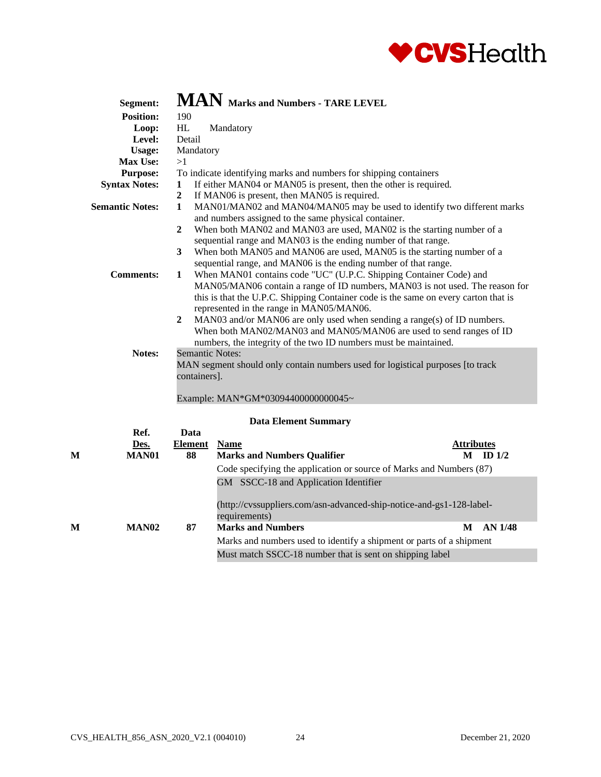

|         | Segment:               |                                                                                                                                                                                                                                                                                                                                                                                                                                                                         | MAN Marks and Numbers - TARE LEVEL                                                                                                       |                   |  |  |  |
|---------|------------------------|-------------------------------------------------------------------------------------------------------------------------------------------------------------------------------------------------------------------------------------------------------------------------------------------------------------------------------------------------------------------------------------------------------------------------------------------------------------------------|------------------------------------------------------------------------------------------------------------------------------------------|-------------------|--|--|--|
|         | <b>Position:</b>       | 190                                                                                                                                                                                                                                                                                                                                                                                                                                                                     |                                                                                                                                          |                   |  |  |  |
|         | Loop:                  | $\mathbf{H}\mathbf{L}$                                                                                                                                                                                                                                                                                                                                                                                                                                                  | Mandatory                                                                                                                                |                   |  |  |  |
|         | Level:                 | Detail                                                                                                                                                                                                                                                                                                                                                                                                                                                                  |                                                                                                                                          |                   |  |  |  |
|         | <b>Usage:</b>          | Mandatory                                                                                                                                                                                                                                                                                                                                                                                                                                                               |                                                                                                                                          |                   |  |  |  |
|         | <b>Max Use:</b>        | >1                                                                                                                                                                                                                                                                                                                                                                                                                                                                      |                                                                                                                                          |                   |  |  |  |
|         | <b>Purpose:</b>        |                                                                                                                                                                                                                                                                                                                                                                                                                                                                         | To indicate identifying marks and numbers for shipping containers                                                                        |                   |  |  |  |
|         | <b>Syntax Notes:</b>   | 1                                                                                                                                                                                                                                                                                                                                                                                                                                                                       | If either MAN04 or MAN05 is present, then the other is required.                                                                         |                   |  |  |  |
|         |                        | $\overline{2}$                                                                                                                                                                                                                                                                                                                                                                                                                                                          | If MAN06 is present, then MAN05 is required.                                                                                             |                   |  |  |  |
|         | <b>Semantic Notes:</b> | $\mathbf{1}$                                                                                                                                                                                                                                                                                                                                                                                                                                                            | MAN01/MAN02 and MAN04/MAN05 may be used to identify two different marks<br>and numbers assigned to the same physical container.          |                   |  |  |  |
|         |                        | $\overline{2}$                                                                                                                                                                                                                                                                                                                                                                                                                                                          | When both MAN02 and MAN03 are used, MAN02 is the starting number of a<br>sequential range and MAN03 is the ending number of that range.  |                   |  |  |  |
|         |                        | $\mathbf{3}$                                                                                                                                                                                                                                                                                                                                                                                                                                                            | When both MAN05 and MAN06 are used, MAN05 is the starting number of a<br>sequential range, and MAN06 is the ending number of that range. |                   |  |  |  |
|         | <b>Comments:</b>       | When MAN01 contains code "UC" (U.P.C. Shipping Container Code) and<br>$\mathbf{1}$<br>MAN05/MAN06 contain a range of ID numbers, MAN03 is not used. The reason for<br>this is that the U.P.C. Shipping Container code is the same on every carton that is<br>represented in the range in MAN05/MAN06.<br>$\mathbf{2}$<br>MAN03 and/or MAN06 are only used when sending a range(s) of ID numbers.<br>When both MAN02/MAN03 and MAN05/MAN06 are used to send ranges of ID |                                                                                                                                          |                   |  |  |  |
|         |                        |                                                                                                                                                                                                                                                                                                                                                                                                                                                                         | numbers, the integrity of the two ID numbers must be maintained.                                                                         |                   |  |  |  |
|         | Notes:                 | <b>Semantic Notes:</b><br>containers].                                                                                                                                                                                                                                                                                                                                                                                                                                  | MAN segment should only contain numbers used for logistical purposes [to track                                                           |                   |  |  |  |
|         |                        |                                                                                                                                                                                                                                                                                                                                                                                                                                                                         | Example: MAN*GM*03094400000000045~                                                                                                       |                   |  |  |  |
|         |                        |                                                                                                                                                                                                                                                                                                                                                                                                                                                                         | <b>Data Element Summary</b>                                                                                                              |                   |  |  |  |
|         | Ref.                   | Data                                                                                                                                                                                                                                                                                                                                                                                                                                                                    |                                                                                                                                          |                   |  |  |  |
|         | Des.                   | Element                                                                                                                                                                                                                                                                                                                                                                                                                                                                 | <b>Name</b>                                                                                                                              | <b>Attributes</b> |  |  |  |
| $\bf M$ | <b>MAN01</b>           | 88                                                                                                                                                                                                                                                                                                                                                                                                                                                                      | <b>Marks and Numbers Qualifier</b>                                                                                                       | ID $1/2$<br>M     |  |  |  |
|         |                        |                                                                                                                                                                                                                                                                                                                                                                                                                                                                         | Code specifying the application or source of Marks and Numbers (87)                                                                      |                   |  |  |  |
|         |                        |                                                                                                                                                                                                                                                                                                                                                                                                                                                                         | GM SSCC-18 and Application Identifier<br>(http://cvssuppliers.com/asn-advanced-ship-notice-and-gs1-128-label-<br>requirements)           |                   |  |  |  |
| М       | <b>MAN02</b>           | 87                                                                                                                                                                                                                                                                                                                                                                                                                                                                      | <b>Marks and Numbers</b>                                                                                                                 | M<br>AN 1/48      |  |  |  |
|         |                        |                                                                                                                                                                                                                                                                                                                                                                                                                                                                         | Marks and numbers used to identify a shipment or parts of a shipment                                                                     |                   |  |  |  |
|         |                        |                                                                                                                                                                                                                                                                                                                                                                                                                                                                         |                                                                                                                                          |                   |  |  |  |
|         |                        |                                                                                                                                                                                                                                                                                                                                                                                                                                                                         | Must match SSCC-18 number that is sent on shipping label                                                                                 |                   |  |  |  |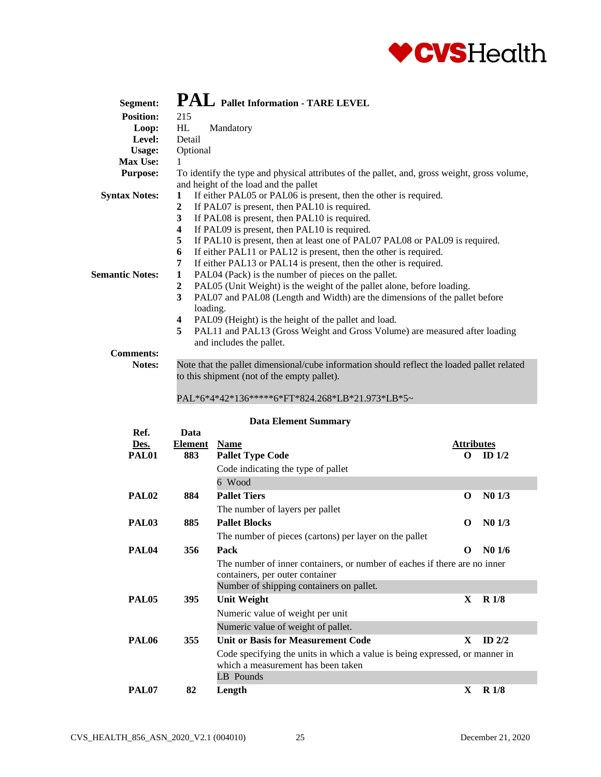

| Segment:               | PAL Pallet Information - TARE LEVEL                                                                                                      |
|------------------------|------------------------------------------------------------------------------------------------------------------------------------------|
| <b>Position:</b>       | 215                                                                                                                                      |
| Loop:                  | HL<br>Mandatory                                                                                                                          |
| Level:                 | Detail                                                                                                                                   |
| <b>Usage:</b>          | Optional                                                                                                                                 |
| <b>Max Use:</b>        | 1                                                                                                                                        |
| <b>Purpose:</b>        | To identify the type and physical attributes of the pallet, and, gross weight, gross volume,<br>and height of the load and the pallet    |
| <b>Syntax Notes:</b>   | If either PAL05 or PAL06 is present, then the other is required.<br>$\mathbf{1}$                                                         |
|                        | If PAL07 is present, then PAL10 is required.<br>$\mathbf{2}$                                                                             |
|                        | If PAL08 is present, then PAL10 is required.<br>3                                                                                        |
|                        | If PAL09 is present, then PAL10 is required.<br>4                                                                                        |
|                        | 5<br>If PAL10 is present, then at least one of PAL07 PAL08 or PAL09 is required.                                                         |
|                        | If either PAL11 or PAL12 is present, then the other is required.<br>6                                                                    |
|                        | If either PAL13 or PAL14 is present, then the other is required.<br>7                                                                    |
| <b>Semantic Notes:</b> | PAL04 (Pack) is the number of pieces on the pallet.<br>1                                                                                 |
|                        | PAL05 (Unit Weight) is the weight of the pallet alone, before loading.<br>2                                                              |
|                        | 3<br>PAL07 and PAL08 (Length and Width) are the dimensions of the pallet before<br>loading.                                              |
|                        | PAL09 (Height) is the height of the pallet and load.<br>4                                                                                |
|                        | 5<br>PAL11 and PAL13 (Gross Weight and Gross Volume) are measured after loading<br>and includes the pallet.                              |
| <b>Comments:</b>       |                                                                                                                                          |
| Notes:                 | Note that the pallet dimensional/cube information should reflect the loaded pallet related<br>to this shipment (not of the empty pallet) |

to this shipment (not of the empty pallet).

#### PAL\*6\*4\*42\*136\*\*\*\*\*6\*FT\*824.268\*LB\*21.973\*LB\*5~

|                   |                | рана експісні баншаг у                                                                                            |                   |                  |
|-------------------|----------------|-------------------------------------------------------------------------------------------------------------------|-------------------|------------------|
| Ref.              | Data           |                                                                                                                   |                   |                  |
| Des.              | <b>Element</b> | <b>Name</b>                                                                                                       | <b>Attributes</b> |                  |
| PAL01             | 883            | <b>Pallet Type Code</b>                                                                                           | $_{\rm o}$        | ID $1/2$         |
|                   |                | Code indicating the type of pallet                                                                                |                   |                  |
|                   |                | 6 Wood                                                                                                            |                   |                  |
| PAL <sub>02</sub> | 884            | <b>Pallet Tiers</b>                                                                                               | O                 | $N0$ 1/3         |
|                   |                | The number of layers per pallet                                                                                   |                   |                  |
| PAL <sub>03</sub> | 885            | <b>Pallet Blocks</b>                                                                                              | O                 | $N0$ 1/3         |
|                   |                | The number of pieces (cartons) per layer on the pallet                                                            |                   |                  |
| PAL <sub>04</sub> | 356            | Pack                                                                                                              | $\Omega$          | N01/6            |
|                   |                | The number of inner containers, or number of eaches if there are no inner<br>containers, per outer container      |                   |                  |
|                   |                | Number of shipping containers on pallet.                                                                          |                   |                  |
| PAL <sub>05</sub> | 395            | <b>Unit Weight</b>                                                                                                | X                 | R1/8             |
|                   |                | Numeric value of weight per unit                                                                                  |                   |                  |
|                   |                | Numeric value of weight of pallet.                                                                                |                   |                  |
| PAL <sub>06</sub> | 355            | <b>Unit or Basis for Measurement Code</b>                                                                         | X                 | ID $2/2$         |
|                   |                | Code specifying the units in which a value is being expressed, or manner in<br>which a measurement has been taken |                   |                  |
|                   |                | LB Pounds                                                                                                         |                   |                  |
| PAL07             | 82             | Length                                                                                                            | X.                | R <sub>1/8</sub> |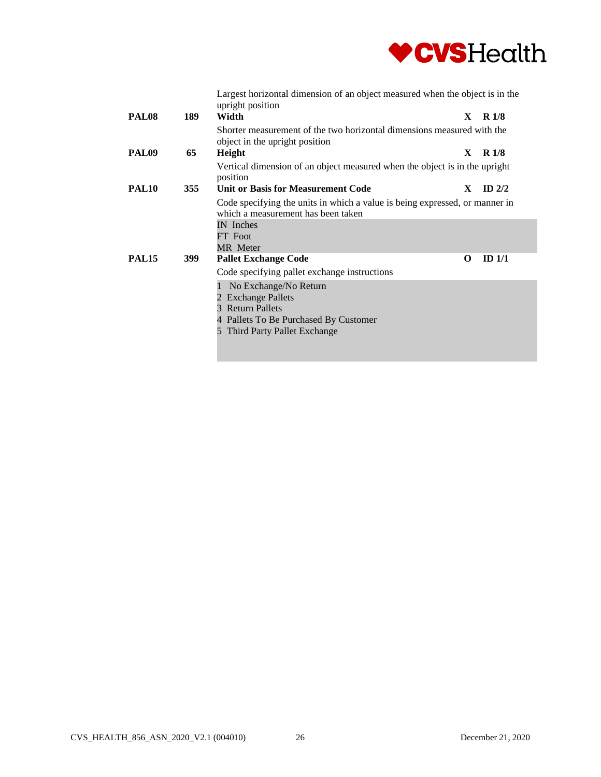

|       |     | Largest horizontal dimension of an object measured when the object is in the<br>upright position                                              |    |                  |
|-------|-----|-----------------------------------------------------------------------------------------------------------------------------------------------|----|------------------|
| PAL08 | 189 | Width                                                                                                                                         | X. | R1/8             |
|       |     | Shorter measurement of the two horizontal dimensions measured with the<br>object in the upright position                                      |    |                  |
| PAL09 | 65  | Height                                                                                                                                        | X  | R <sub>1/8</sub> |
|       |     | Vertical dimension of an object measured when the object is in the upright<br>position                                                        |    |                  |
| PAL10 | 355 | <b>Unit or Basis for Measurement Code</b>                                                                                                     | X  | ID $2/2$         |
|       |     | Code specifying the units in which a value is being expressed, or manner in<br>which a measurement has been taken                             |    |                  |
|       |     | IN Inches                                                                                                                                     |    |                  |
|       |     | FT Foot                                                                                                                                       |    |                  |
|       |     | <b>MR</b> Meter                                                                                                                               |    |                  |
| PAL15 | 399 | <b>Pallet Exchange Code</b>                                                                                                                   | O  | ID $1/1$         |
|       |     | Code specifying pallet exchange instructions                                                                                                  |    |                  |
|       |     | No Exchange/No Return<br>2 Exchange Pallets<br>3 Return Pallets<br>4 Pallets To Be Purchased By Customer<br>Third Party Pallet Exchange<br>5. |    |                  |
|       |     |                                                                                                                                               |    |                  |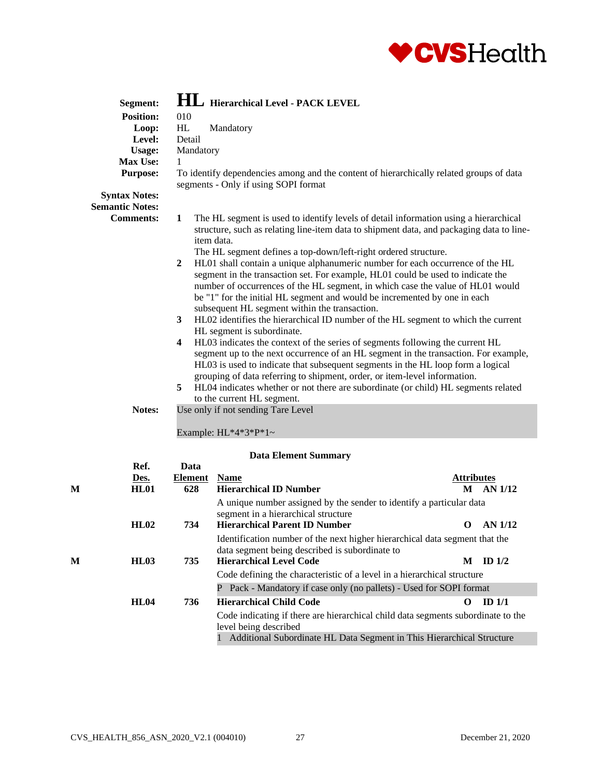

|   | Segment:                                                                                                                                           |                                                                                        | <b>HL</b> Hierarchical Level - PACK LEVEL                                                                                                                                                                                                                                                                                                                                                                                                                |                   |                |  |  |
|---|----------------------------------------------------------------------------------------------------------------------------------------------------|----------------------------------------------------------------------------------------|----------------------------------------------------------------------------------------------------------------------------------------------------------------------------------------------------------------------------------------------------------------------------------------------------------------------------------------------------------------------------------------------------------------------------------------------------------|-------------------|----------------|--|--|
|   | <b>Position:</b>                                                                                                                                   | 010                                                                                    |                                                                                                                                                                                                                                                                                                                                                                                                                                                          |                   |                |  |  |
|   | Loop:                                                                                                                                              | HL<br>Mandatory                                                                        |                                                                                                                                                                                                                                                                                                                                                                                                                                                          |                   |                |  |  |
|   | Level:                                                                                                                                             | Detail                                                                                 |                                                                                                                                                                                                                                                                                                                                                                                                                                                          |                   |                |  |  |
|   | Usage:                                                                                                                                             | Mandatory                                                                              |                                                                                                                                                                                                                                                                                                                                                                                                                                                          |                   |                |  |  |
|   | <b>Max Use:</b>                                                                                                                                    | 1                                                                                      |                                                                                                                                                                                                                                                                                                                                                                                                                                                          |                   |                |  |  |
|   | <b>Purpose:</b><br>To identify dependencies among and the content of hierarchically related groups of data<br>segments - Only if using SOPI format |                                                                                        |                                                                                                                                                                                                                                                                                                                                                                                                                                                          |                   |                |  |  |
|   | <b>Syntax Notes:</b>                                                                                                                               |                                                                                        |                                                                                                                                                                                                                                                                                                                                                                                                                                                          |                   |                |  |  |
|   | <b>Semantic Notes:</b>                                                                                                                             |                                                                                        |                                                                                                                                                                                                                                                                                                                                                                                                                                                          |                   |                |  |  |
|   | <b>Comments:</b>                                                                                                                                   | 1                                                                                      | The HL segment is used to identify levels of detail information using a hierarchical<br>structure, such as relating line-item data to shipment data, and packaging data to line-<br>item data.                                                                                                                                                                                                                                                           |                   |                |  |  |
|   |                                                                                                                                                    |                                                                                        | The HL segment defines a top-down/left-right ordered structure.                                                                                                                                                                                                                                                                                                                                                                                          |                   |                |  |  |
|   |                                                                                                                                                    | 2                                                                                      | HL01 shall contain a unique alphanumeric number for each occurrence of the HL<br>segment in the transaction set. For example, HL01 could be used to indicate the<br>number of occurrences of the HL segment, in which case the value of HL01 would<br>be "1" for the initial HL segment and would be incremented by one in each                                                                                                                          |                   |                |  |  |
|   | subsequent HL segment within the transaction.                                                                                                      |                                                                                        |                                                                                                                                                                                                                                                                                                                                                                                                                                                          |                   |                |  |  |
|   |                                                                                                                                                    | 3<br>HL02 identifies the hierarchical ID number of the HL segment to which the current |                                                                                                                                                                                                                                                                                                                                                                                                                                                          |                   |                |  |  |
|   |                                                                                                                                                    |                                                                                        | HL segment is subordinate.                                                                                                                                                                                                                                                                                                                                                                                                                               |                   |                |  |  |
|   |                                                                                                                                                    | 4<br>5                                                                                 | HL03 indicates the context of the series of segments following the current HL<br>segment up to the next occurrence of an HL segment in the transaction. For example,<br>HL03 is used to indicate that subsequent segments in the HL loop form a logical<br>grouping of data referring to shipment, order, or item-level information.<br>HL04 indicates whether or not there are subordinate (or child) HL segments related<br>to the current HL segment. |                   |                |  |  |
|   | Notes:                                                                                                                                             |                                                                                        | Use only if not sending Tare Level                                                                                                                                                                                                                                                                                                                                                                                                                       |                   |                |  |  |
|   |                                                                                                                                                    |                                                                                        | Example: $HL*4*3*P*1$ ~                                                                                                                                                                                                                                                                                                                                                                                                                                  |                   |                |  |  |
|   |                                                                                                                                                    |                                                                                        | <b>Data Element Summary</b>                                                                                                                                                                                                                                                                                                                                                                                                                              |                   |                |  |  |
|   | Ref.<br>Des.                                                                                                                                       | Data<br>Element                                                                        | <b>Name</b>                                                                                                                                                                                                                                                                                                                                                                                                                                              | <b>Attributes</b> |                |  |  |
| М | <b>HL01</b>                                                                                                                                        | 628                                                                                    | <b>Hierarchical ID Number</b>                                                                                                                                                                                                                                                                                                                                                                                                                            |                   | M AN 1/12      |  |  |
|   |                                                                                                                                                    |                                                                                        | A unique number assigned by the sender to identify a particular data                                                                                                                                                                                                                                                                                                                                                                                     |                   |                |  |  |
|   | HL02                                                                                                                                               | 734                                                                                    | segment in a hierarchical structure<br><b>Hierarchical Parent ID Number</b>                                                                                                                                                                                                                                                                                                                                                                              | $\mathbf 0$       | <b>AN 1/12</b> |  |  |
|   |                                                                                                                                                    |                                                                                        | Identification number of the next higher hierarchical data segment that the                                                                                                                                                                                                                                                                                                                                                                              |                   |                |  |  |
|   |                                                                                                                                                    |                                                                                        | data segment being described is subordinate to                                                                                                                                                                                                                                                                                                                                                                                                           |                   |                |  |  |
| М | HL03                                                                                                                                               | 735                                                                                    | <b>Hierarchical Level Code</b>                                                                                                                                                                                                                                                                                                                                                                                                                           | M                 | ID $1/2$       |  |  |
|   |                                                                                                                                                    |                                                                                        | Code defining the characteristic of a level in a hierarchical structure                                                                                                                                                                                                                                                                                                                                                                                  |                   |                |  |  |
|   |                                                                                                                                                    |                                                                                        | P Pack - Mandatory if case only (no pallets) - Used for SOPI format                                                                                                                                                                                                                                                                                                                                                                                      |                   |                |  |  |
|   |                                                                                                                                                    |                                                                                        |                                                                                                                                                                                                                                                                                                                                                                                                                                                          |                   |                |  |  |

**HL04 736 Hierarchical Child Code O ID 1/1** Code indicating if there are hierarchical child data segments subordinate to the level being described

1 Additional Subordinate HL Data Segment in This Hierarchical Structure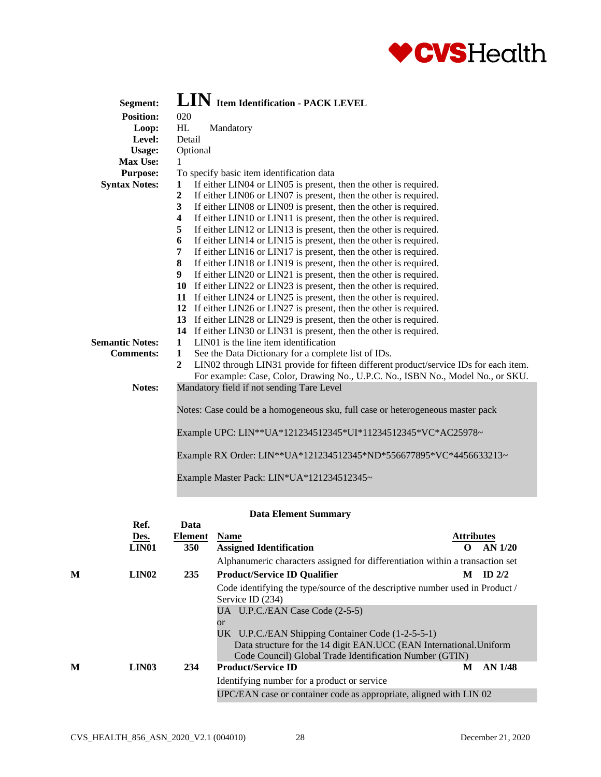

| Segment:               | LIN Item Identification - PACK LEVEL                                                                   |
|------------------------|--------------------------------------------------------------------------------------------------------|
| <b>Position:</b>       | 020                                                                                                    |
| Loop:                  | HL<br>Mandatory                                                                                        |
| Level:                 | Detail                                                                                                 |
| <b>Usage:</b>          | Optional                                                                                               |
| Max Use:               | 1.                                                                                                     |
| <b>Purpose:</b>        | To specify basic item identification data                                                              |
| <b>Syntax Notes:</b>   | If either LIN04 or LIN05 is present, then the other is required.<br>1                                  |
|                        | $\boldsymbol{2}$<br>If either LIN06 or LIN07 is present, then the other is required.                   |
|                        | If either LIN08 or LIN09 is present, then the other is required.<br>3                                  |
|                        | If either LIN10 or LIN11 is present, then the other is required.<br>$\overline{\mathbf{4}}$            |
|                        | If either LIN12 or LIN13 is present, then the other is required.<br>5                                  |
|                        | If either LIN14 or LIN15 is present, then the other is required.<br>6                                  |
|                        | If either LIN16 or LIN17 is present, then the other is required.<br>7                                  |
|                        | 8<br>If either LIN18 or LIN19 is present, then the other is required.                                  |
|                        | 9<br>If either LIN20 or LIN21 is present, then the other is required.                                  |
|                        | 10 If either LIN22 or LIN23 is present, then the other is required.                                    |
|                        | 11 If either LIN24 or LIN25 is present, then the other is required.                                    |
|                        | 12 If either LIN26 or LIN27 is present, then the other is required.                                    |
|                        | 13 If either LIN28 or LIN29 is present, then the other is required.                                    |
|                        | 14 If either LIN30 or LIN31 is present, then the other is required.                                    |
| <b>Semantic Notes:</b> | LIN01 is the line item identification<br>1                                                             |
| <b>Comments:</b>       | See the Data Dictionary for a complete list of IDs.<br>$\mathbf{1}$                                    |
|                        | LIN02 through LIN31 provide for fifteen different product/service IDs for each item.<br>$\overline{2}$ |
|                        | For example: Case, Color, Drawing No., U.P.C. No., ISBN No., Model No., or SKU.                        |
| Notes:                 | Mandatory field if not sending Tare Level                                                              |
|                        |                                                                                                        |
|                        | Notes: Case could be a homogeneous sku, full case or heterogeneous master pack                         |
|                        | Example UPC: LIN**UA*121234512345*UI*11234512345*VC*AC25978~                                           |
|                        |                                                                                                        |
|                        | Example RX Order: LIN**UA*121234512345*ND*556677895*VC*4456633213~                                     |
|                        |                                                                                                        |
|                        | Example Master Pack: LIN*UA*121234512345~                                                              |
|                        |                                                                                                        |

|   | Ref.<br>Des.<br>LIN <sub>01</sub> | Data<br><b>Element</b><br><b>350</b> | <b>Name</b><br><b>Assigned Identification</b>                                                                            | <b>Attributes</b><br>$\Omega$ | AN 1/20        |
|---|-----------------------------------|--------------------------------------|--------------------------------------------------------------------------------------------------------------------------|-------------------------------|----------------|
| M | LIN <sub>02</sub>                 | 235                                  | Alphanumeric characters assigned for differentiation within a transaction set<br><b>Product/Service ID Qualifier</b>     | M                             | ID $2/2$       |
|   |                                   |                                      | Code identifying the type/source of the descriptive number used in Product /<br>Service ID (234)                         |                               |                |
|   |                                   |                                      | UA U.P.C./EAN Case Code (2-5-5)<br><b>or</b>                                                                             |                               |                |
|   |                                   |                                      | UK U.P.C./EAN Shipping Container Code (1-2-5-5-1)<br>Data structure for the 14 digit EAN.UCC (EAN International. Uniform |                               |                |
|   |                                   |                                      | Code Council) Global Trade Identification Number (GTIN)                                                                  |                               |                |
| M | LIN <sub>03</sub>                 | 234                                  | <b>Product/Service ID</b>                                                                                                | M                             | <b>AN 1/48</b> |
|   |                                   |                                      | Identifying number for a product or service                                                                              |                               |                |
|   |                                   |                                      | UPC/EAN case or container code as appropriate, aligned with LIN 02                                                       |                               |                |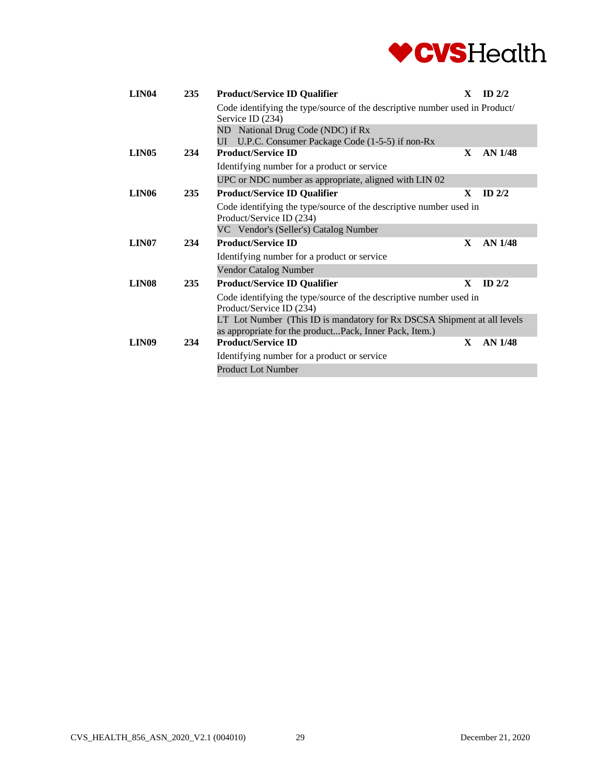

| <b>LIN04</b>      | 235 | <b>Product/Service ID Qualifier</b>                                                                                               | X | $ID$ 2/2       |
|-------------------|-----|-----------------------------------------------------------------------------------------------------------------------------------|---|----------------|
|                   |     | Code identifying the type/source of the descriptive number used in Product/<br>Service ID (234)                                   |   |                |
|                   |     | ND National Drug Code (NDC) if Rx                                                                                                 |   |                |
|                   |     | UI U.P.C. Consumer Package Code (1-5-5) if non-Rx<br><b>Product/Service ID</b>                                                    |   |                |
| LIN <sub>05</sub> | 234 |                                                                                                                                   | X | AN 1/48        |
|                   |     | Identifying number for a product or service                                                                                       |   |                |
|                   |     | UPC or NDC number as appropriate, aligned with LIN 02                                                                             |   |                |
| LIN <sub>06</sub> | 235 | <b>Product/Service ID Qualifier</b>                                                                                               | X | $ID$ $2/2$     |
|                   |     | Code identifying the type/source of the descriptive number used in<br>Product/Service ID (234)                                    |   |                |
|                   |     | VC Vendor's (Seller's) Catalog Number                                                                                             |   |                |
| LIN <sub>07</sub> | 234 | <b>Product/Service ID</b>                                                                                                         | X | AN 1/48        |
|                   |     | Identifying number for a product or service                                                                                       |   |                |
|                   |     | Vendor Catalog Number                                                                                                             |   |                |
| LIN <sub>08</sub> | 235 | <b>Product/Service ID Qualifier</b>                                                                                               | X | $ID$ 2/2       |
|                   |     | Code identifying the type/source of the descriptive number used in<br>Product/Service ID (234)                                    |   |                |
|                   |     | LT Lot Number (This ID is mandatory for Rx DSCSA Shipment at all levels<br>as appropriate for the productPack, Inner Pack, Item.) |   |                |
| LIN <sub>09</sub> | 234 | <b>Product/Service ID</b>                                                                                                         | X | <b>AN 1/48</b> |
|                   |     | Identifying number for a product or service                                                                                       |   |                |
|                   |     | <b>Product Lot Number</b>                                                                                                         |   |                |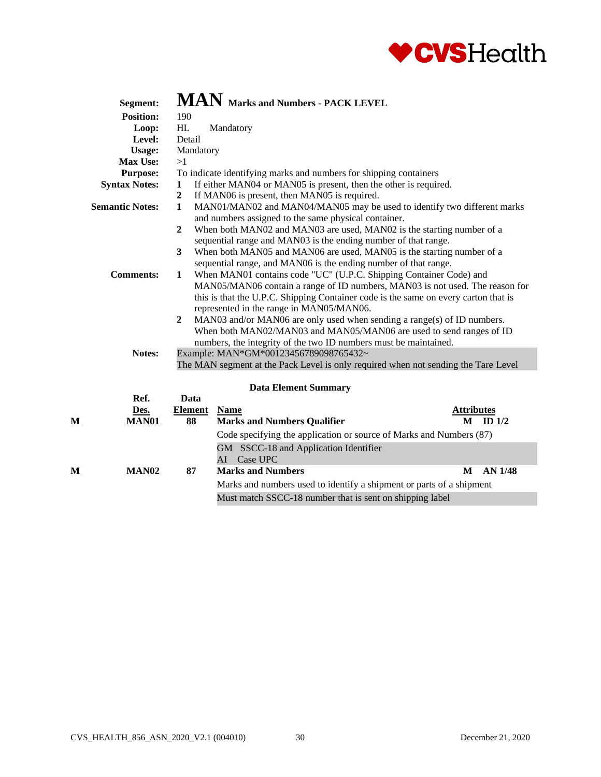

|   | Segment:               |                                                                         | $\bf{MAN}$ Marks and Numbers - PACK LEVEL                                                                                                                                                 |                                        |  |  |  |  |
|---|------------------------|-------------------------------------------------------------------------|-------------------------------------------------------------------------------------------------------------------------------------------------------------------------------------------|----------------------------------------|--|--|--|--|
|   | <b>Position:</b>       | 190                                                                     |                                                                                                                                                                                           |                                        |  |  |  |  |
|   | Loop:                  | HL                                                                      | Mandatory                                                                                                                                                                                 |                                        |  |  |  |  |
|   | Level:                 | Detail                                                                  |                                                                                                                                                                                           |                                        |  |  |  |  |
|   | Usage:                 | Mandatory                                                               |                                                                                                                                                                                           |                                        |  |  |  |  |
|   | Max Use:               | >1                                                                      |                                                                                                                                                                                           |                                        |  |  |  |  |
|   | <b>Purpose:</b>        |                                                                         | To indicate identifying marks and numbers for shipping containers                                                                                                                         |                                        |  |  |  |  |
|   | <b>Syntax Notes:</b>   | 1                                                                       | If either MAN04 or MAN05 is present, then the other is required.                                                                                                                          |                                        |  |  |  |  |
|   |                        | $\overline{2}$                                                          | If MAN06 is present, then MAN05 is required.                                                                                                                                              |                                        |  |  |  |  |
|   | <b>Semantic Notes:</b> | $\mathbf{1}$                                                            | MAN01/MAN02 and MAN04/MAN05 may be used to identify two different marks                                                                                                                   |                                        |  |  |  |  |
|   |                        |                                                                         | and numbers assigned to the same physical container.                                                                                                                                      |                                        |  |  |  |  |
|   |                        | $\boldsymbol{2}$                                                        | When both MAN02 and MAN03 are used, MAN02 is the starting number of a                                                                                                                     |                                        |  |  |  |  |
|   |                        |                                                                         | sequential range and MAN03 is the ending number of that range.                                                                                                                            |                                        |  |  |  |  |
|   |                        | 3                                                                       | When both MAN05 and MAN06 are used, MAN05 is the starting number of a                                                                                                                     |                                        |  |  |  |  |
|   |                        |                                                                         | sequential range, and MAN06 is the ending number of that range.                                                                                                                           |                                        |  |  |  |  |
|   | <b>Comments:</b>       | When MAN01 contains code "UC" (U.P.C. Shipping Container Code) and<br>1 |                                                                                                                                                                                           |                                        |  |  |  |  |
|   |                        |                                                                         | MAN05/MAN06 contain a range of ID numbers, MAN03 is not used. The reason for                                                                                                              |                                        |  |  |  |  |
|   |                        |                                                                         | this is that the U.P.C. Shipping Container code is the same on every carton that is                                                                                                       |                                        |  |  |  |  |
|   |                        |                                                                         | represented in the range in MAN05/MAN06.                                                                                                                                                  |                                        |  |  |  |  |
|   |                        | $\mathbf{2}$                                                            | MAN03 and/or MAN06 are only used when sending a range(s) of ID numbers.                                                                                                                   |                                        |  |  |  |  |
|   |                        |                                                                         | When both MAN02/MAN03 and MAN05/MAN06 are used to send ranges of ID                                                                                                                       |                                        |  |  |  |  |
|   |                        |                                                                         | numbers, the integrity of the two ID numbers must be maintained.                                                                                                                          |                                        |  |  |  |  |
|   | Notes:                 |                                                                         | Example: MAN*GM*00123456789098765432~                                                                                                                                                     |                                        |  |  |  |  |
|   |                        |                                                                         | The MAN segment at the Pack Level is only required when not sending the Tare Level                                                                                                        |                                        |  |  |  |  |
|   |                        |                                                                         |                                                                                                                                                                                           |                                        |  |  |  |  |
|   |                        |                                                                         | <b>Data Element Summary</b>                                                                                                                                                               |                                        |  |  |  |  |
|   | Ref.                   | Data                                                                    |                                                                                                                                                                                           |                                        |  |  |  |  |
|   |                        |                                                                         |                                                                                                                                                                                           |                                        |  |  |  |  |
|   |                        |                                                                         |                                                                                                                                                                                           |                                        |  |  |  |  |
|   |                        |                                                                         |                                                                                                                                                                                           |                                        |  |  |  |  |
|   |                        |                                                                         | GM SSCC-18 and Application Identifier                                                                                                                                                     |                                        |  |  |  |  |
|   |                        |                                                                         | AI Case UPC                                                                                                                                                                               |                                        |  |  |  |  |
| М | <b>MAN02</b>           | 87                                                                      | <b>Marks and Numbers</b><br>M                                                                                                                                                             | <b>AN 1/48</b>                         |  |  |  |  |
|   |                        |                                                                         | Marks and numbers used to identify a shipment or parts of a shipment                                                                                                                      |                                        |  |  |  |  |
|   |                        |                                                                         |                                                                                                                                                                                           |                                        |  |  |  |  |
| M | Des.<br><b>MAN01</b>   | <b>Element</b><br>88                                                    | <b>Name</b><br><b>Marks and Numbers Qualifier</b><br>M<br>Code specifying the application or source of Marks and Numbers (87)<br>Must match SSCC-18 number that is sent on shipping label | <b>Attributes</b><br>ID <sub>1/2</sub> |  |  |  |  |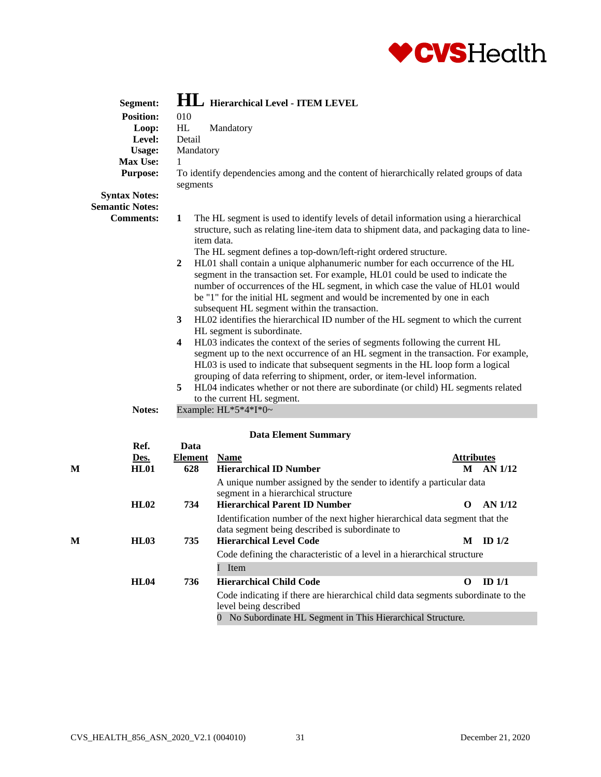

| Segment:<br><b>Position:</b><br>Loop:<br>Level:<br><b>Usage:</b><br>Max Use:<br><b>Purpose:</b><br><b>Syntax Notes:</b><br><b>Semantic Notes:</b><br><b>Comments:</b> | 010<br>HL<br>Detail<br>Mandatory<br>1<br>segments<br>$\mathbf{1}$<br>$\overline{2}$<br>3<br>4<br>5 | HL Hierarchical Level - ITEM LEVEL<br>Mandatory<br>To identify dependencies among and the content of hierarchically related groups of data<br>The HL segment is used to identify levels of detail information using a hierarchical<br>structure, such as relating line-item data to shipment data, and packaging data to line-<br>item data.<br>The HL segment defines a top-down/left-right ordered structure.<br>HL01 shall contain a unique alphanumeric number for each occurrence of the HL<br>segment in the transaction set. For example, HL01 could be used to indicate the<br>number of occurrences of the HL segment, in which case the value of HL01 would<br>be "1" for the initial HL segment and would be incremented by one in each<br>subsequent HL segment within the transaction.<br>HL02 identifies the hierarchical ID number of the HL segment to which the current<br>HL segment is subordinate.<br>HL03 indicates the context of the series of segments following the current HL<br>segment up to the next occurrence of an HL segment in the transaction. For example,<br>HL03 is used to indicate that subsequent segments in the HL loop form a logical<br>grouping of data referring to shipment, order, or item-level information.<br>HL04 indicates whether or not there are subordinate (or child) HL segments related |                                             |
|-----------------------------------------------------------------------------------------------------------------------------------------------------------------------|----------------------------------------------------------------------------------------------------|------------------------------------------------------------------------------------------------------------------------------------------------------------------------------------------------------------------------------------------------------------------------------------------------------------------------------------------------------------------------------------------------------------------------------------------------------------------------------------------------------------------------------------------------------------------------------------------------------------------------------------------------------------------------------------------------------------------------------------------------------------------------------------------------------------------------------------------------------------------------------------------------------------------------------------------------------------------------------------------------------------------------------------------------------------------------------------------------------------------------------------------------------------------------------------------------------------------------------------------------------------------------------------------------------------------------------------------------------|---------------------------------------------|
| Notes:                                                                                                                                                                |                                                                                                    | to the current HL segment.<br>Example: $HL*5*4*I*0-$                                                                                                                                                                                                                                                                                                                                                                                                                                                                                                                                                                                                                                                                                                                                                                                                                                                                                                                                                                                                                                                                                                                                                                                                                                                                                                 |                                             |
|                                                                                                                                                                       |                                                                                                    |                                                                                                                                                                                                                                                                                                                                                                                                                                                                                                                                                                                                                                                                                                                                                                                                                                                                                                                                                                                                                                                                                                                                                                                                                                                                                                                                                      |                                             |
| Ref.<br>Des.<br>М<br>HL01                                                                                                                                             | Data<br><b>Element</b><br>628                                                                      | <b>Data Element Summary</b><br><b>Name</b><br><b>Hierarchical ID Number</b>                                                                                                                                                                                                                                                                                                                                                                                                                                                                                                                                                                                                                                                                                                                                                                                                                                                                                                                                                                                                                                                                                                                                                                                                                                                                          | <b>Attributes</b><br>$M$ AN $1/12$          |
| HL02<br><b>HL03</b><br>М                                                                                                                                              | 734<br>735                                                                                         | A unique number assigned by the sender to identify a particular data<br>segment in a hierarchical structure<br><b>Hierarchical Parent ID Number</b><br>Identification number of the next higher hierarchical data segment that the<br>data segment being described is subordinate to<br><b>Hierarchical Level Code</b>                                                                                                                                                                                                                                                                                                                                                                                                                                                                                                                                                                                                                                                                                                                                                                                                                                                                                                                                                                                                                               | <b>AN 1/12</b><br>$\Omega$<br>M<br>ID $1/2$ |
|                                                                                                                                                                       |                                                                                                    | Code defining the characteristic of a level in a hierarchical structure                                                                                                                                                                                                                                                                                                                                                                                                                                                                                                                                                                                                                                                                                                                                                                                                                                                                                                                                                                                                                                                                                                                                                                                                                                                                              |                                             |
|                                                                                                                                                                       |                                                                                                    | I Item                                                                                                                                                                                                                                                                                                                                                                                                                                                                                                                                                                                                                                                                                                                                                                                                                                                                                                                                                                                                                                                                                                                                                                                                                                                                                                                                               |                                             |
| <b>HL04</b>                                                                                                                                                           | 736                                                                                                | <b>Hierarchical Child Code</b>                                                                                                                                                                                                                                                                                                                                                                                                                                                                                                                                                                                                                                                                                                                                                                                                                                                                                                                                                                                                                                                                                                                                                                                                                                                                                                                       | ID $1/1$<br>$\mathbf{o}$                    |
|                                                                                                                                                                       |                                                                                                    | Code indicating if there are hierarchical child data segments subordinate to the<br>level being described                                                                                                                                                                                                                                                                                                                                                                                                                                                                                                                                                                                                                                                                                                                                                                                                                                                                                                                                                                                                                                                                                                                                                                                                                                            |                                             |

0 No Subordinate HL Segment in This Hierarchical Structure.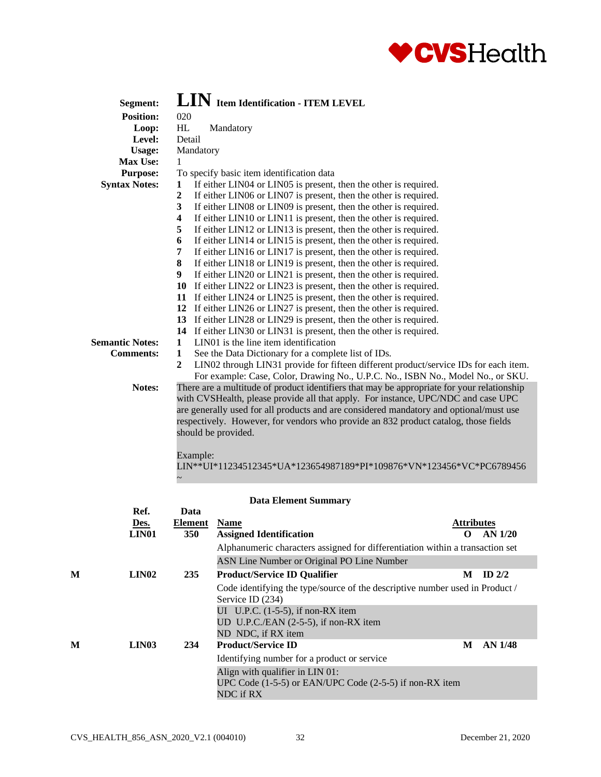

| Segment:               | LIN Item Identification - ITEM LEVEL                                                                     |  |  |  |  |  |  |  |
|------------------------|----------------------------------------------------------------------------------------------------------|--|--|--|--|--|--|--|
| <b>Position:</b>       | 020                                                                                                      |  |  |  |  |  |  |  |
| Loop:                  | HL<br>Mandatory                                                                                          |  |  |  |  |  |  |  |
| Level:                 | Detail                                                                                                   |  |  |  |  |  |  |  |
| <b>Usage:</b>          | Mandatory                                                                                                |  |  |  |  |  |  |  |
| Max Use:               | 1                                                                                                        |  |  |  |  |  |  |  |
| <b>Purpose:</b>        | To specify basic item identification data                                                                |  |  |  |  |  |  |  |
| <b>Syntax Notes:</b>   | If either LIN04 or LIN05 is present, then the other is required.<br>1                                    |  |  |  |  |  |  |  |
|                        | $\overline{2}$<br>If either LIN06 or LIN07 is present, then the other is required.                       |  |  |  |  |  |  |  |
|                        | 3<br>If either LIN08 or LIN09 is present, then the other is required.                                    |  |  |  |  |  |  |  |
|                        | If either LIN10 or LIN11 is present, then the other is required.<br>$\overline{\mathbf{4}}$              |  |  |  |  |  |  |  |
|                        | If either LIN12 or LIN13 is present, then the other is required.<br>5                                    |  |  |  |  |  |  |  |
|                        | 6<br>If either LIN14 or LIN15 is present, then the other is required.                                    |  |  |  |  |  |  |  |
|                        | If either LIN16 or LIN17 is present, then the other is required.<br>7                                    |  |  |  |  |  |  |  |
|                        | 8<br>If either LIN18 or LIN19 is present, then the other is required.                                    |  |  |  |  |  |  |  |
|                        | 9<br>If either LIN20 or LIN21 is present, then the other is required.                                    |  |  |  |  |  |  |  |
|                        | 10 If either LIN22 or LIN23 is present, then the other is required.                                      |  |  |  |  |  |  |  |
|                        | 11 If either LIN24 or LIN25 is present, then the other is required.                                      |  |  |  |  |  |  |  |
|                        | 12 If either LIN26 or LIN27 is present, then the other is required.                                      |  |  |  |  |  |  |  |
|                        | 13 If either LIN28 or LIN29 is present, then the other is required.                                      |  |  |  |  |  |  |  |
|                        | 14 If either LIN30 or LIN31 is present, then the other is required.                                      |  |  |  |  |  |  |  |
| <b>Semantic Notes:</b> | LIN01 is the line item identification<br>$\mathbf 1$                                                     |  |  |  |  |  |  |  |
| <b>Comments:</b>       | $\mathbf{1}$<br>See the Data Dictionary for a complete list of IDs.                                      |  |  |  |  |  |  |  |
|                        | $\boldsymbol{2}$<br>LIN02 through LIN31 provide for fifteen different product/service IDs for each item. |  |  |  |  |  |  |  |
|                        | For example: Case, Color, Drawing No., U.P.C. No., ISBN No., Model No., or SKU.                          |  |  |  |  |  |  |  |
| Notes:                 | There are a multitude of product identifiers that may be appropriate for your relationship               |  |  |  |  |  |  |  |
|                        | with CVSHealth, please provide all that apply. For instance, UPC/NDC and case UPC                        |  |  |  |  |  |  |  |
|                        | are generally used for all products and are considered mandatory and optional/must use                   |  |  |  |  |  |  |  |
|                        | respectively. However, for vendors who provide an 832 product catalog, those fields                      |  |  |  |  |  |  |  |
|                        | should be provided.                                                                                      |  |  |  |  |  |  |  |
|                        |                                                                                                          |  |  |  |  |  |  |  |
|                        | Example:                                                                                                 |  |  |  |  |  |  |  |

LIN\*\*UI\*11234512345\*UA\*123654987189\*PI\*109876\*VN\*123456\*VC\*PC6789456

|   |                    |                | <b>Data Element Summary</b>                                                                                 |                   |          |
|---|--------------------|----------------|-------------------------------------------------------------------------------------------------------------|-------------------|----------|
|   | Ref.               | Data           |                                                                                                             |                   |          |
|   | Des.               | <b>Element</b> | <b>Name</b>                                                                                                 | <b>Attributes</b> |          |
|   | LIN <sub>01</sub>  | <b>350</b>     | <b>Assigned Identification</b>                                                                              | റ                 | AN 1/20  |
|   |                    |                | Alphanumeric characters assigned for differentiation within a transaction set                               |                   |          |
|   |                    |                | ASN Line Number or Original PO Line Number                                                                  |                   |          |
| M | LIN <sub>0</sub> 2 | 235            | <b>Product/Service ID Qualifier</b>                                                                         | М                 | ID $2/2$ |
|   |                    |                | Code identifying the type/source of the descriptive number used in Product /<br>Service ID (234)            |                   |          |
|   |                    |                | UI U.P.C. $(1-5-5)$ , if non-RX item                                                                        |                   |          |
|   |                    |                | UD U.P.C./EAN $(2-5-5)$ , if non-RX item                                                                    |                   |          |
|   |                    |                | ND NDC, if RX item                                                                                          |                   |          |
| M | LIN <sub>03</sub>  | 234            | <b>Product/Service ID</b>                                                                                   | M                 | AN 1/48  |
|   |                    |                | Identifying number for a product or service                                                                 |                   |          |
|   |                    |                | Align with qualifier in LIN 01:<br>UPC Code $(1-5-5)$ or EAN/UPC Code $(2-5-5)$ if non-RX item<br>NDC if RX |                   |          |

 $\sim$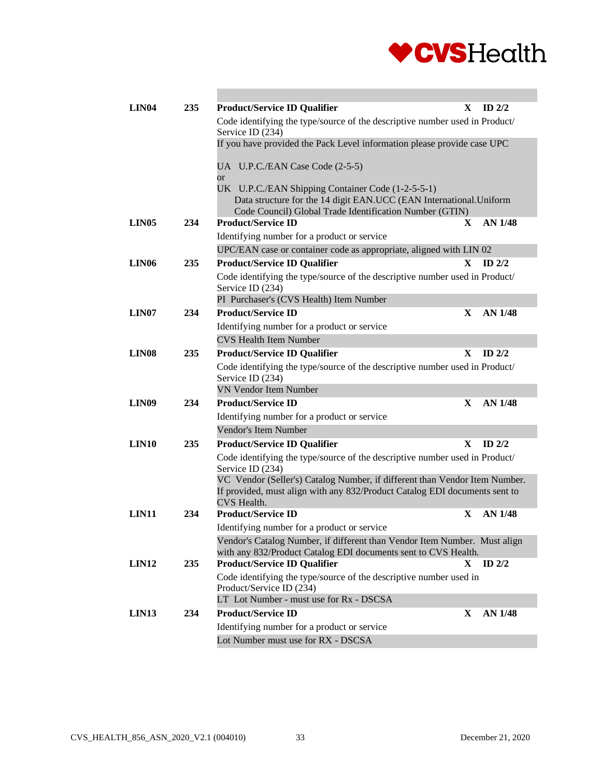

| LIN <sub>04</sub> | 235 | <b>Product/Service ID Qualifier</b>                                                                                                         | X  | ID $2/2$       |
|-------------------|-----|---------------------------------------------------------------------------------------------------------------------------------------------|----|----------------|
|                   |     | Code identifying the type/source of the descriptive number used in Product/<br>Service ID (234)                                             |    |                |
|                   |     | If you have provided the Pack Level information please provide case UPC                                                                     |    |                |
|                   |     | UA U.P.C./EAN Case Code (2-5-5)<br><sub>or</sub>                                                                                            |    |                |
|                   |     | UK U.P.C./EAN Shipping Container Code (1-2-5-5-1)                                                                                           |    |                |
|                   |     | Data structure for the 14 digit EAN.UCC (EAN International. Uniform                                                                         |    |                |
|                   |     | Code Council) Global Trade Identification Number (GTIN)<br><b>Product/Service ID</b>                                                        |    |                |
| LIN <sub>05</sub> | 234 | Identifying number for a product or service                                                                                                 | X  | <b>AN 1/48</b> |
|                   |     | UPC/EAN case or container code as appropriate, aligned with LIN 02                                                                          |    |                |
| LIN <sub>06</sub> | 235 | <b>Product/Service ID Qualifier</b>                                                                                                         | X  | ID $2/2$       |
|                   |     | Code identifying the type/source of the descriptive number used in Product/                                                                 |    |                |
|                   |     | Service ID (234)                                                                                                                            |    |                |
|                   |     | PI Purchaser's (CVS Health) Item Number                                                                                                     |    |                |
| LIN <sub>07</sub> | 234 | <b>Product/Service ID</b>                                                                                                                   | X  | AN 1/48        |
|                   |     | Identifying number for a product or service                                                                                                 |    |                |
|                   |     | <b>CVS Health Item Number</b>                                                                                                               |    |                |
| LIN <sub>08</sub> | 235 | <b>Product/Service ID Qualifier</b>                                                                                                         | X. | $ID$ 2/2       |
|                   |     | Code identifying the type/source of the descriptive number used in Product/                                                                 |    |                |
|                   |     | Service ID (234)                                                                                                                            |    |                |
|                   |     | <b>VN Vendor Item Number</b>                                                                                                                |    |                |
| LIN <sub>09</sub> | 234 | <b>Product/Service ID</b>                                                                                                                   | X  | <b>AN 1/48</b> |
|                   |     | Identifying number for a product or service                                                                                                 |    |                |
|                   |     | Vendor's Item Number                                                                                                                        |    |                |
| LIN <sub>10</sub> | 235 | <b>Product/Service ID Qualifier</b>                                                                                                         | X  | $ID$ 2/2       |
|                   |     | Code identifying the type/source of the descriptive number used in Product/<br>Service ID (234)                                             |    |                |
|                   |     | VC Vendor (Seller's) Catalog Number, if different than Vendor Item Number.                                                                  |    |                |
|                   |     | If provided, must align with any 832/Product Catalog EDI documents sent to<br>CVS Health.                                                   |    |                |
| LIN <sub>11</sub> | 234 | <b>Product/Service ID</b>                                                                                                                   | X  | AN 1/48        |
|                   |     | Identifying number for a product or service                                                                                                 |    |                |
|                   |     | Vendor's Catalog Number, if different than Vendor Item Number. Must align<br>with any 832/Product Catalog EDI documents sent to CVS Health. |    |                |
| <b>LIN12</b>      | 235 | <b>Product/Service ID Qualifier</b>                                                                                                         | X  | ID $2/2$       |
|                   |     | Code identifying the type/source of the descriptive number used in<br>Product/Service ID (234)                                              |    |                |
|                   |     | LT Lot Number - must use for Rx - DSCSA                                                                                                     |    |                |
| LIN <sub>13</sub> | 234 | <b>Product/Service ID</b>                                                                                                                   | X  | AN 1/48        |
|                   |     | Identifying number for a product or service                                                                                                 |    |                |
|                   |     | Lot Number must use for RX - DSCSA                                                                                                          |    |                |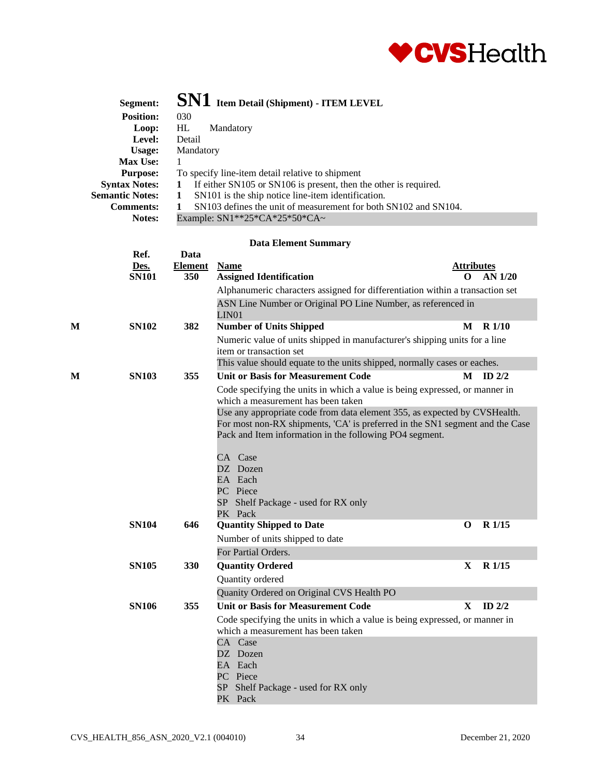

|   | Segment:               |                | $\mathbf{SN1}\,$ Item Detail (Shipment) - ITEM LEVEL                                                              |                   |                   |  |  |
|---|------------------------|----------------|-------------------------------------------------------------------------------------------------------------------|-------------------|-------------------|--|--|
|   | <b>Position:</b>       | 030            |                                                                                                                   |                   |                   |  |  |
|   | Loop:                  | HL             | Mandatory                                                                                                         |                   |                   |  |  |
|   | Level:                 | Detail         |                                                                                                                   |                   |                   |  |  |
|   | <b>Usage:</b>          |                | Mandatory                                                                                                         |                   |                   |  |  |
|   | <b>Max Use:</b>        | 1              |                                                                                                                   |                   |                   |  |  |
|   | <b>Purpose:</b>        |                | To specify line-item detail relative to shipment                                                                  |                   |                   |  |  |
|   | <b>Syntax Notes:</b>   | 1              | If either SN105 or SN106 is present, then the other is required.                                                  |                   |                   |  |  |
|   | <b>Semantic Notes:</b> | $\mathbf{1}$   | SN101 is the ship notice line-item identification.                                                                |                   |                   |  |  |
|   | <b>Comments:</b>       | 1              | SN103 defines the unit of measurement for both SN102 and SN104.                                                   |                   |                   |  |  |
|   | Notes:                 |                | Example: SN1**25*CA*25*50*CA~                                                                                     |                   |                   |  |  |
|   |                        |                | <b>Data Element Summary</b>                                                                                       |                   |                   |  |  |
|   | Ref.                   | Data           |                                                                                                                   |                   |                   |  |  |
|   | Des.                   | <b>Element</b> | <b>Name</b>                                                                                                       | <u>Attributes</u> |                   |  |  |
|   | <b>SN101</b>           | 350            | <b>Assigned Identification</b>                                                                                    | $\Omega$          | $AN$ 1/20         |  |  |
|   |                        |                | Alphanumeric characters assigned for differentiation within a transaction set                                     |                   |                   |  |  |
|   |                        |                | ASN Line Number or Original PO Line Number, as referenced in<br>LIN <sub>01</sub>                                 |                   |                   |  |  |
| М | <b>SN102</b>           | 382            | <b>Number of Units Shipped</b>                                                                                    | M                 | <b>R</b> 1/10     |  |  |
|   |                        |                | Numeric value of units shipped in manufacturer's shipping units for a line                                        |                   |                   |  |  |
|   |                        |                | item or transaction set                                                                                           |                   |                   |  |  |
|   |                        |                | This value should equate to the units shipped, normally cases or eaches.                                          |                   |                   |  |  |
| M | <b>SN103</b>           | 355            | <b>Unit or Basis for Measurement Code</b>                                                                         | M                 | ID $2/2$          |  |  |
|   |                        |                | Code specifying the units in which a value is being expressed, or manner in                                       |                   |                   |  |  |
|   |                        |                | which a measurement has been taken                                                                                |                   |                   |  |  |
|   |                        |                | Use any appropriate code from data element 355, as expected by CVSHealth.                                         |                   |                   |  |  |
|   |                        |                | For most non-RX shipments, 'CA' is preferred in the SN1 segment and the Case                                      |                   |                   |  |  |
|   |                        |                | Pack and Item information in the following PO4 segment.                                                           |                   |                   |  |  |
|   |                        |                | CA Case                                                                                                           |                   |                   |  |  |
|   |                        |                | DZ Dozen                                                                                                          |                   |                   |  |  |
|   |                        |                | EA Each                                                                                                           |                   |                   |  |  |
|   |                        |                | PC Piece                                                                                                          |                   |                   |  |  |
|   |                        |                | SP Shelf Package - used for RX only                                                                               |                   |                   |  |  |
|   |                        |                | PK Pack                                                                                                           |                   |                   |  |  |
|   | <b>SN104</b>           | 646            | <b>Quantity Shipped to Date</b>                                                                                   | O                 | R <sub>1/15</sub> |  |  |
|   |                        |                | Number of units shipped to date                                                                                   |                   |                   |  |  |
|   |                        |                | For Partial Orders.                                                                                               |                   |                   |  |  |
|   | <b>SN105</b>           | 330            | <b>Quantity Ordered</b>                                                                                           | X                 | $R$ 1/15          |  |  |
|   |                        |                | Quantity ordered                                                                                                  |                   |                   |  |  |
|   |                        |                | Quanity Ordered on Original CVS Health PO                                                                         |                   |                   |  |  |
|   |                        | 355            | <b>Unit or Basis for Measurement Code</b>                                                                         | X                 | ID $2/2$          |  |  |
|   | <b>SN106</b>           |                |                                                                                                                   |                   |                   |  |  |
|   |                        |                | Code specifying the units in which a value is being expressed, or manner in<br>which a measurement has been taken |                   |                   |  |  |
|   |                        |                | CA Case                                                                                                           |                   |                   |  |  |
|   |                        |                | DZ Dozen                                                                                                          |                   |                   |  |  |
|   |                        |                | EA Each                                                                                                           |                   |                   |  |  |
|   |                        |                | PC Piece                                                                                                          |                   |                   |  |  |
|   |                        |                | SP Shelf Package - used for RX only                                                                               |                   |                   |  |  |
|   |                        |                | PK Pack                                                                                                           |                   |                   |  |  |
|   |                        |                |                                                                                                                   |                   |                   |  |  |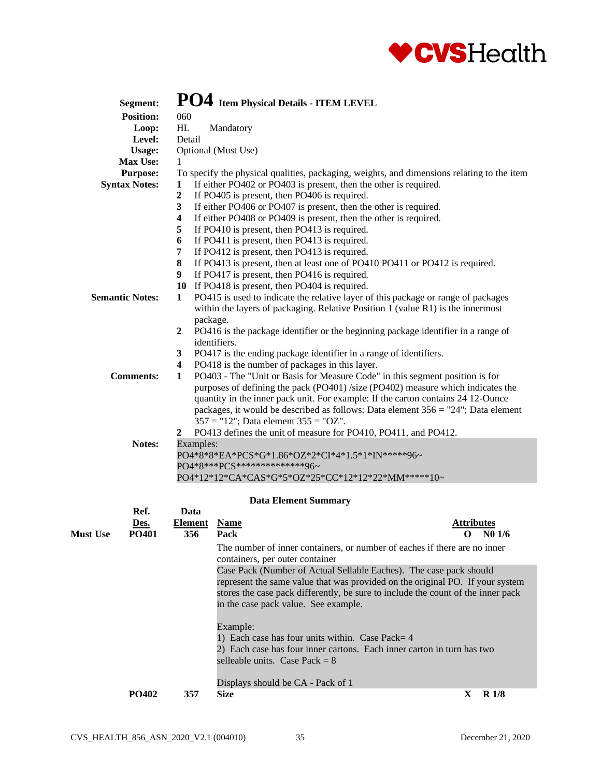

|                 | Segment:               |                            | PO4 Item Physical Details - ITEM LEVEL                                                                                                                               |                         |  |  |  |
|-----------------|------------------------|----------------------------|----------------------------------------------------------------------------------------------------------------------------------------------------------------------|-------------------------|--|--|--|
|                 | <b>Position:</b>       | 060                        |                                                                                                                                                                      |                         |  |  |  |
|                 | Loop:                  | HL                         | Mandatory                                                                                                                                                            |                         |  |  |  |
|                 | Level:                 | Detail                     |                                                                                                                                                                      |                         |  |  |  |
|                 | <b>Usage:</b>          |                            | Optional (Must Use)                                                                                                                                                  |                         |  |  |  |
|                 | Max Use:               | 1                          |                                                                                                                                                                      |                         |  |  |  |
|                 | <b>Purpose:</b>        |                            | To specify the physical qualities, packaging, weights, and dimensions relating to the item                                                                           |                         |  |  |  |
|                 | <b>Syntax Notes:</b>   | 1                          | If either PO402 or PO403 is present, then the other is required.                                                                                                     |                         |  |  |  |
|                 |                        | $\boldsymbol{2}$           | If PO405 is present, then PO406 is required.                                                                                                                         |                         |  |  |  |
|                 |                        | $\overline{\mathbf{3}}$    |                                                                                                                                                                      |                         |  |  |  |
|                 |                        | $\overline{\mathbf{4}}$    | If either PO406 or PO407 is present, then the other is required.                                                                                                     |                         |  |  |  |
|                 |                        | 5                          | If either PO408 or PO409 is present, then the other is required.<br>If PO410 is present, then PO413 is required.                                                     |                         |  |  |  |
|                 |                        | 6                          |                                                                                                                                                                      |                         |  |  |  |
|                 |                        |                            | If PO411 is present, then PO413 is required.                                                                                                                         |                         |  |  |  |
|                 |                        | 7                          | If PO412 is present, then PO413 is required.                                                                                                                         |                         |  |  |  |
|                 |                        | 8                          | If PO413 is present, then at least one of PO410 PO411 or PO412 is required.                                                                                          |                         |  |  |  |
|                 |                        | 9                          | If PO417 is present, then PO416 is required.                                                                                                                         |                         |  |  |  |
|                 |                        |                            | 10 If PO418 is present, then PO404 is required.                                                                                                                      |                         |  |  |  |
|                 | <b>Semantic Notes:</b> | 1                          | PO415 is used to indicate the relative layer of this package or range of packages<br>within the layers of packaging. Relative Position 1 (value R1) is the innermost |                         |  |  |  |
|                 |                        | package.<br>$\overline{2}$ |                                                                                                                                                                      |                         |  |  |  |
|                 |                        |                            | PO416 is the package identifier or the beginning package identifier in a range of<br>identifiers.                                                                    |                         |  |  |  |
|                 |                        |                            |                                                                                                                                                                      |                         |  |  |  |
|                 |                        | 3                          | PO417 is the ending package identifier in a range of identifiers.                                                                                                    |                         |  |  |  |
|                 |                        | $\overline{\mathbf{4}}$    | PO418 is the number of packages in this layer.                                                                                                                       |                         |  |  |  |
|                 | <b>Comments:</b>       | 1                          | PO403 - The "Unit or Basis for Measure Code" in this segment position is for                                                                                         |                         |  |  |  |
|                 |                        |                            | purposes of defining the pack (PO401) /size (PO402) measure which indicates the                                                                                      |                         |  |  |  |
|                 |                        |                            | quantity in the inner pack unit. For example: If the carton contains 24 12-Ounce                                                                                     |                         |  |  |  |
|                 |                        |                            | packages, it would be described as follows: Data element $356 = "24"$ ; Data element                                                                                 |                         |  |  |  |
|                 |                        |                            | $357 = "12"$ ; Data element $355 = "OZ"$ .                                                                                                                           |                         |  |  |  |
|                 |                        | $\mathbf{2}$               | PO413 defines the unit of measure for PO410, PO411, and PO412.                                                                                                       |                         |  |  |  |
|                 | Notes:                 | Examples:                  |                                                                                                                                                                      |                         |  |  |  |
|                 |                        |                            | PO4*8*8*EA*PCS*G*1.86*OZ*2*CI*4*1.5*1*IN*****96~                                                                                                                     |                         |  |  |  |
|                 |                        |                            | PO4*8***PCS***************96~                                                                                                                                        |                         |  |  |  |
|                 |                        |                            | PO4*12*12*CA*CAS*G*5*OZ*25*CC*12*12*22*MM*****10~                                                                                                                    |                         |  |  |  |
|                 |                        |                            | <b>Data Element Summary</b>                                                                                                                                          |                         |  |  |  |
|                 | Ref.                   | Data                       |                                                                                                                                                                      |                         |  |  |  |
|                 | Des.                   | <b>Element</b>             | <b>Name</b>                                                                                                                                                          | <b>Attributes</b>       |  |  |  |
| <b>Must Use</b> | PO401                  | 356                        | Pack                                                                                                                                                                 | N <sub>0</sub> 1/6<br>O |  |  |  |
|                 |                        |                            | The number of inner containers, or number of eaches if there are no inner                                                                                            |                         |  |  |  |
|                 |                        |                            | containers, per outer container                                                                                                                                      |                         |  |  |  |
|                 |                        |                            | Case Pack (Number of Actual Sellable Eaches). The case pack should                                                                                                   |                         |  |  |  |
|                 |                        |                            | represent the same value that was provided on the original PO. If your system                                                                                        |                         |  |  |  |
|                 |                        |                            | stores the case pack differently, be sure to include the count of the inner pack                                                                                     |                         |  |  |  |
|                 |                        |                            | in the case pack value. See example.                                                                                                                                 |                         |  |  |  |
|                 |                        |                            |                                                                                                                                                                      |                         |  |  |  |
|                 |                        |                            | Example:                                                                                                                                                             |                         |  |  |  |
|                 |                        |                            | 1) Each case has four units within. Case Pack= 4                                                                                                                     |                         |  |  |  |
|                 |                        |                            | 2) Each case has four inner cartons. Each inner carton in turn has two                                                                                               |                         |  |  |  |
|                 |                        |                            | selleable units. Case Pack = $8$                                                                                                                                     |                         |  |  |  |

Displays should be CA - Pack of 1 **PO402 357 Size X R 1/8**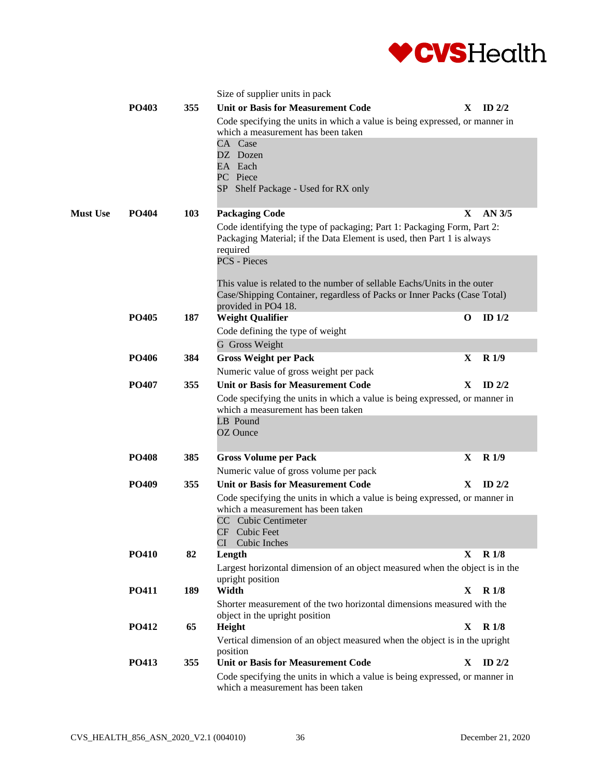

|                 |              |            | Size of supplier units in pack                                                                                    |              |                  |
|-----------------|--------------|------------|-------------------------------------------------------------------------------------------------------------------|--------------|------------------|
|                 | <b>PO403</b> | 355        | <b>Unit or Basis for Measurement Code</b>                                                                         |              | $X$ ID 2/2       |
|                 |              |            | Code specifying the units in which a value is being expressed, or manner in                                       |              |                  |
|                 |              |            | which a measurement has been taken                                                                                |              |                  |
|                 |              |            | CA Case<br>DZ Dozen                                                                                               |              |                  |
|                 |              |            | EA Each                                                                                                           |              |                  |
|                 |              |            | PC Piece                                                                                                          |              |                  |
|                 |              |            | SP Shelf Package - Used for RX only                                                                               |              |                  |
| <b>Must Use</b> | <b>PO404</b> | <b>103</b> | <b>Packaging Code</b>                                                                                             | X.           | AN 3/5           |
|                 |              |            | Code identifying the type of packaging; Part 1: Packaging Form, Part 2:                                           |              |                  |
|                 |              |            | Packaging Material; if the Data Element is used, then Part 1 is always                                            |              |                  |
|                 |              |            | required                                                                                                          |              |                  |
|                 |              |            | <b>PCS</b> - Pieces                                                                                               |              |                  |
|                 |              |            | This value is related to the number of sellable Eachs/Units in the outer                                          |              |                  |
|                 |              |            | Case/Shipping Container, regardless of Packs or Inner Packs (Case Total)                                          |              |                  |
|                 |              |            | provided in PO4 18.                                                                                               |              |                  |
|                 | PO405        | 187        | <b>Weight Qualifier</b>                                                                                           | O            | ID $1/2$         |
|                 |              |            | Code defining the type of weight                                                                                  |              |                  |
|                 |              |            | G Gross Weight                                                                                                    |              |                  |
|                 | <b>PO406</b> | 384        | <b>Gross Weight per Pack</b>                                                                                      | X            | R <sub>1/9</sub> |
|                 |              |            | Numeric value of gross weight per pack                                                                            |              |                  |
|                 | PO407        | 355        | <b>Unit or Basis for Measurement Code</b>                                                                         | X            | ID $2/2$         |
|                 |              |            | Code specifying the units in which a value is being expressed, or manner in<br>which a measurement has been taken |              |                  |
|                 |              |            | LB Pound                                                                                                          |              |                  |
|                 |              |            | OZ Ounce                                                                                                          |              |                  |
|                 | <b>PO408</b> | 385        | <b>Gross Volume per Pack</b>                                                                                      | X            | R1/9             |
|                 |              |            | Numeric value of gross volume per pack                                                                            |              |                  |
|                 | <b>PO409</b> | 355        | <b>Unit or Basis for Measurement Code</b>                                                                         | X            | $ID$ 2/2         |
|                 |              |            | Code specifying the units in which a value is being expressed, or manner in                                       |              |                  |
|                 |              |            | which a measurement has been taken                                                                                |              |                  |
|                 |              |            | CC Cubic Centimeter                                                                                               |              |                  |
|                 |              |            | CF Cubic Feet                                                                                                     |              |                  |
|                 | <b>PO410</b> | 82         | Cubic Inches<br>СI<br>Length                                                                                      | $\mathbf{X}$ | R <sub>1/8</sub> |
|                 |              |            | Largest horizontal dimension of an object measured when the object is in the                                      |              |                  |
|                 |              |            | upright position                                                                                                  |              |                  |
|                 | PO411        | 189        | Width                                                                                                             | X            | R 1/8            |
|                 |              |            | Shorter measurement of the two horizontal dimensions measured with the                                            |              |                  |
|                 |              |            | object in the upright position                                                                                    |              |                  |
|                 | PO412        | 65         | Height                                                                                                            | X            | <b>R</b> 1/8     |
|                 |              |            | Vertical dimension of an object measured when the object is in the upright<br>position                            |              |                  |
|                 | PO413        | 355        | <b>Unit or Basis for Measurement Code</b>                                                                         | $\mathbf{X}$ | ID $2/2$         |
|                 |              |            | Code specifying the units in which a value is being expressed, or manner in                                       |              |                  |
|                 |              |            | which a measurement has been taken                                                                                |              |                  |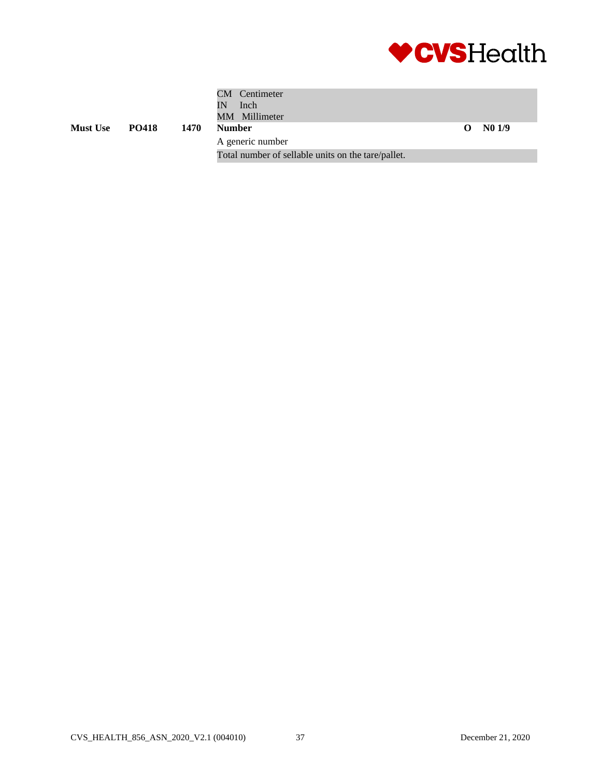

|                 |              |      | CM Centimeter<br>Inch<br>IN<br>MM Millimeter       |    |       |
|-----------------|--------------|------|----------------------------------------------------|----|-------|
| <b>Must Use</b> | <b>PO418</b> | 1470 | <b>Number</b>                                      | O. | N01/9 |
|                 |              |      | A generic number                                   |    |       |
|                 |              |      | Total number of sellable units on the tare/pallet. |    |       |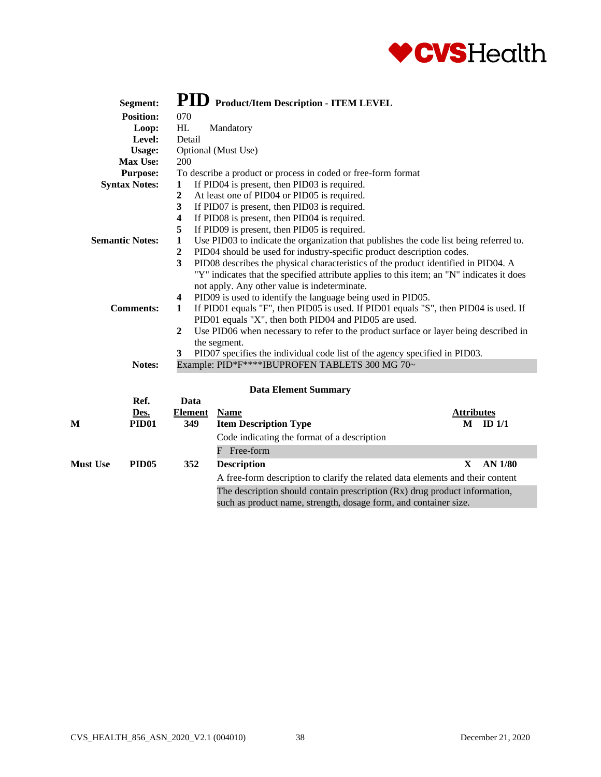

|                         | Segment:               |                                                                  | PID Product/Item Description - ITEM LEVEL                                                 |                   |                |  |  |  |
|-------------------------|------------------------|------------------------------------------------------------------|-------------------------------------------------------------------------------------------|-------------------|----------------|--|--|--|
|                         | <b>Position:</b>       | 070                                                              |                                                                                           |                   |                |  |  |  |
|                         | Loop:                  | HL                                                               | Mandatory                                                                                 |                   |                |  |  |  |
|                         | Level:                 | Detail                                                           |                                                                                           |                   |                |  |  |  |
|                         | <b>Usage:</b>          |                                                                  | Optional (Must Use)                                                                       |                   |                |  |  |  |
|                         | Max Use:               | 200                                                              |                                                                                           |                   |                |  |  |  |
|                         | <b>Purpose:</b>        |                                                                  | To describe a product or process in coded or free-form format                             |                   |                |  |  |  |
|                         | <b>Syntax Notes:</b>   | 1                                                                | If PID04 is present, then PID03 is required.                                              |                   |                |  |  |  |
|                         |                        | $\boldsymbol{2}$                                                 | At least one of PID04 or PID05 is required.                                               |                   |                |  |  |  |
|                         |                        | 3                                                                | If PID07 is present, then PID03 is required.                                              |                   |                |  |  |  |
|                         |                        | 4                                                                | If PID08 is present, then PID04 is required.                                              |                   |                |  |  |  |
|                         |                        | 5                                                                | If PID09 is present, then PID05 is required.                                              |                   |                |  |  |  |
|                         | <b>Semantic Notes:</b> | 1                                                                | Use PID03 to indicate the organization that publishes the code list being referred to.    |                   |                |  |  |  |
|                         |                        | $\overline{2}$                                                   | PID04 should be used for industry-specific product description codes.                     |                   |                |  |  |  |
|                         |                        | 3                                                                | PID08 describes the physical characteristics of the product identified in PID04. A        |                   |                |  |  |  |
|                         |                        |                                                                  | "Y" indicates that the specified attribute applies to this item; an "N" indicates it does |                   |                |  |  |  |
|                         |                        |                                                                  | not apply. Any other value is indeterminate.                                              |                   |                |  |  |  |
|                         |                        | PID09 is used to identify the language being used in PID05.<br>4 |                                                                                           |                   |                |  |  |  |
|                         | <b>Comments:</b>       | 1                                                                | If PID01 equals "F", then PID05 is used. If PID01 equals "S", then PID04 is used. If      |                   |                |  |  |  |
|                         |                        |                                                                  | PID01 equals "X", then both PID04 and PID05 are used.                                     |                   |                |  |  |  |
|                         |                        | $\mathbf{2}$                                                     | Use PID06 when necessary to refer to the product surface or layer being described in      |                   |                |  |  |  |
|                         |                        |                                                                  | the segment.                                                                              |                   |                |  |  |  |
|                         |                        | 3                                                                | PID07 specifies the individual code list of the agency specified in PID03.                |                   |                |  |  |  |
|                         | Notes:                 |                                                                  | Example: PID*F****IBUPROFEN TABLETS 300 MG 70~                                            |                   |                |  |  |  |
|                         |                        |                                                                  |                                                                                           |                   |                |  |  |  |
|                         |                        |                                                                  | <b>Data Element Summary</b>                                                               |                   |                |  |  |  |
|                         | Ref.                   | Data                                                             |                                                                                           |                   |                |  |  |  |
|                         | Des.                   | <b>Element</b>                                                   | <b>Name</b>                                                                               | <b>Attributes</b> |                |  |  |  |
| $\overline{\mathbf{M}}$ | <b>PID01</b>           | 349                                                              | <b>Item Description Type</b>                                                              |                   | $M$ ID $1/1$   |  |  |  |
|                         |                        |                                                                  | Code indicating the format of a description                                               |                   |                |  |  |  |
|                         |                        |                                                                  | F Free-form                                                                               |                   |                |  |  |  |
| <b>Must Use</b>         | PID <sub>05</sub>      | 352                                                              | <b>Description</b>                                                                        | $\mathbf{X}$      | <b>AN 1/80</b> |  |  |  |
|                         |                        |                                                                  | A free-form description to clarify the related data elements and their content            |                   |                |  |  |  |
|                         |                        |                                                                  | The description should contain prescription (Rx) drug product information,                |                   |                |  |  |  |
|                         |                        |                                                                  | such as product name, strength, dosage form, and container size.                          |                   |                |  |  |  |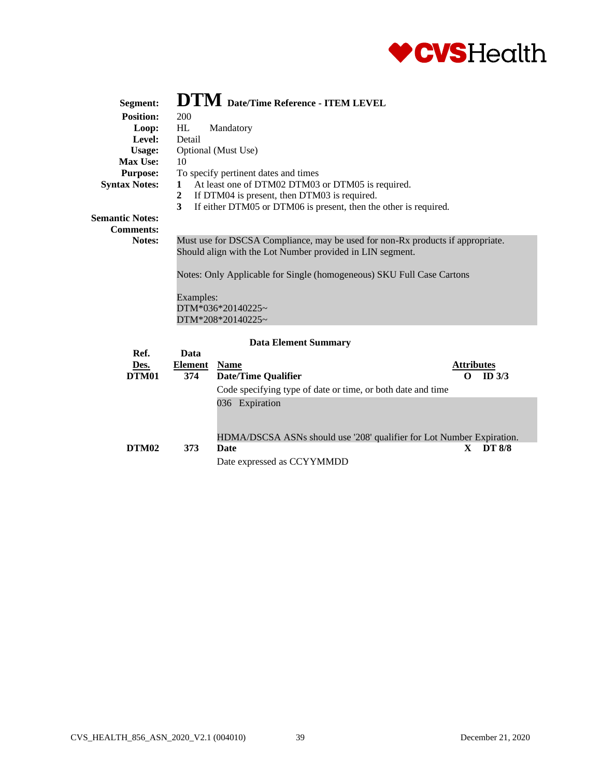

| Segment:               | $\mathbf{DTM}$ Date/Time Reference - ITEM LEVEL                                |                   |  |  |  |  |
|------------------------|--------------------------------------------------------------------------------|-------------------|--|--|--|--|
| <b>Position:</b>       | 200                                                                            |                   |  |  |  |  |
| Loop:                  | HL<br>Mandatory                                                                |                   |  |  |  |  |
| Level:                 | Detail                                                                         |                   |  |  |  |  |
| <b>Usage:</b>          | Optional (Must Use)                                                            |                   |  |  |  |  |
| Max Use:               | 10                                                                             |                   |  |  |  |  |
| <b>Purpose:</b>        | To specify pertinent dates and times                                           |                   |  |  |  |  |
| <b>Syntax Notes:</b>   | At least one of DTM02 DTM03 or DTM05 is required.<br>$\mathbf{1}$              |                   |  |  |  |  |
|                        | If DTM04 is present, then DTM03 is required.<br>2                              |                   |  |  |  |  |
|                        | 3<br>If either DTM05 or DTM06 is present, then the other is required.          |                   |  |  |  |  |
| <b>Semantic Notes:</b> |                                                                                |                   |  |  |  |  |
| <b>Comments:</b>       |                                                                                |                   |  |  |  |  |
| <b>Notes:</b>          | Must use for DSCSA Compliance, may be used for non-Rx products if appropriate. |                   |  |  |  |  |
|                        | Should align with the Lot Number provided in LIN segment.                      |                   |  |  |  |  |
|                        |                                                                                |                   |  |  |  |  |
|                        | Notes: Only Applicable for Single (homogeneous) SKU Full Case Cartons          |                   |  |  |  |  |
|                        |                                                                                |                   |  |  |  |  |
|                        | Examples:                                                                      |                   |  |  |  |  |
|                        | DTM*036*20140225~                                                              |                   |  |  |  |  |
|                        | DTM*208*20140225~                                                              |                   |  |  |  |  |
|                        |                                                                                |                   |  |  |  |  |
|                        | <b>Data Element Summary</b>                                                    |                   |  |  |  |  |
| Ref.                   | Data                                                                           |                   |  |  |  |  |
| Des.                   | <b>Name</b><br>Element                                                         | <b>Attributes</b> |  |  |  |  |
| DTM01                  | 374<br><b>Date/Time Oualifier</b>                                              | ID $3/3$<br>O     |  |  |  |  |

| Des.  | Element | <b>Name</b>                                                           | <b>Attributes</b> |               |  |
|-------|---------|-----------------------------------------------------------------------|-------------------|---------------|--|
| DTM01 | 374     | <b>Date/Time Qualifier</b>                                            |                   | ID $3/3$      |  |
|       |         | Code specifying type of date or time, or both date and time           |                   |               |  |
|       |         | 036 Expiration                                                        |                   |               |  |
|       |         | HDMA/DSCSA ASNs should use '208' qualifier for Lot Number Expiration. |                   |               |  |
| DTM02 | 373     | Date                                                                  |                   | <b>DT 8/8</b> |  |
|       |         | Date expressed as CCYYMMDD                                            |                   |               |  |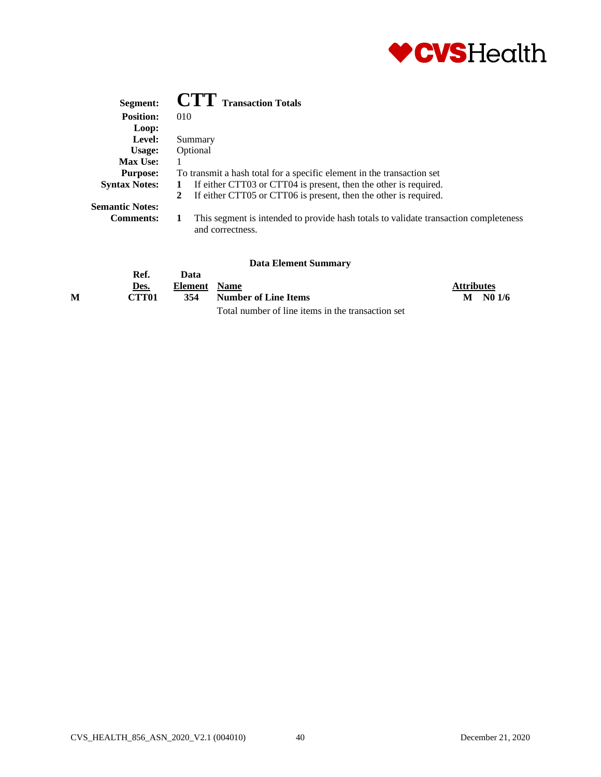

| Segment:               | <b>CTT</b> Transaction Totals                                                                            |
|------------------------|----------------------------------------------------------------------------------------------------------|
| <b>Position:</b>       | 010                                                                                                      |
| Loop:                  |                                                                                                          |
| Level:                 | Summary                                                                                                  |
| Usage:                 | Optional                                                                                                 |
| <b>Max Use:</b>        |                                                                                                          |
| <b>Purpose:</b>        | To transmit a hash total for a specific element in the transaction set                                   |
| <b>Syntax Notes:</b>   | If either CTT03 or CTT04 is present, then the other is required.                                         |
|                        | If either CTT05 or CTT06 is present, then the other is required.<br>2                                    |
| <b>Semantic Notes:</b> |                                                                                                          |
| <b>Comments:</b>       | This segment is intended to provide hash totals to validate transaction completeness<br>and correctness. |

|   |                   |              | рата елешені миницагу                             |                   |        |
|---|-------------------|--------------|---------------------------------------------------|-------------------|--------|
|   | Ref.              | Data         |                                                   |                   |        |
|   | Des.              | Element Name |                                                   | <b>Attributes</b> |        |
| м | CTT <sub>01</sub> | 354          | Number of Line Items                              | M                 | NO 1/6 |
|   |                   |              | Total number of line items in the transaction set |                   |        |